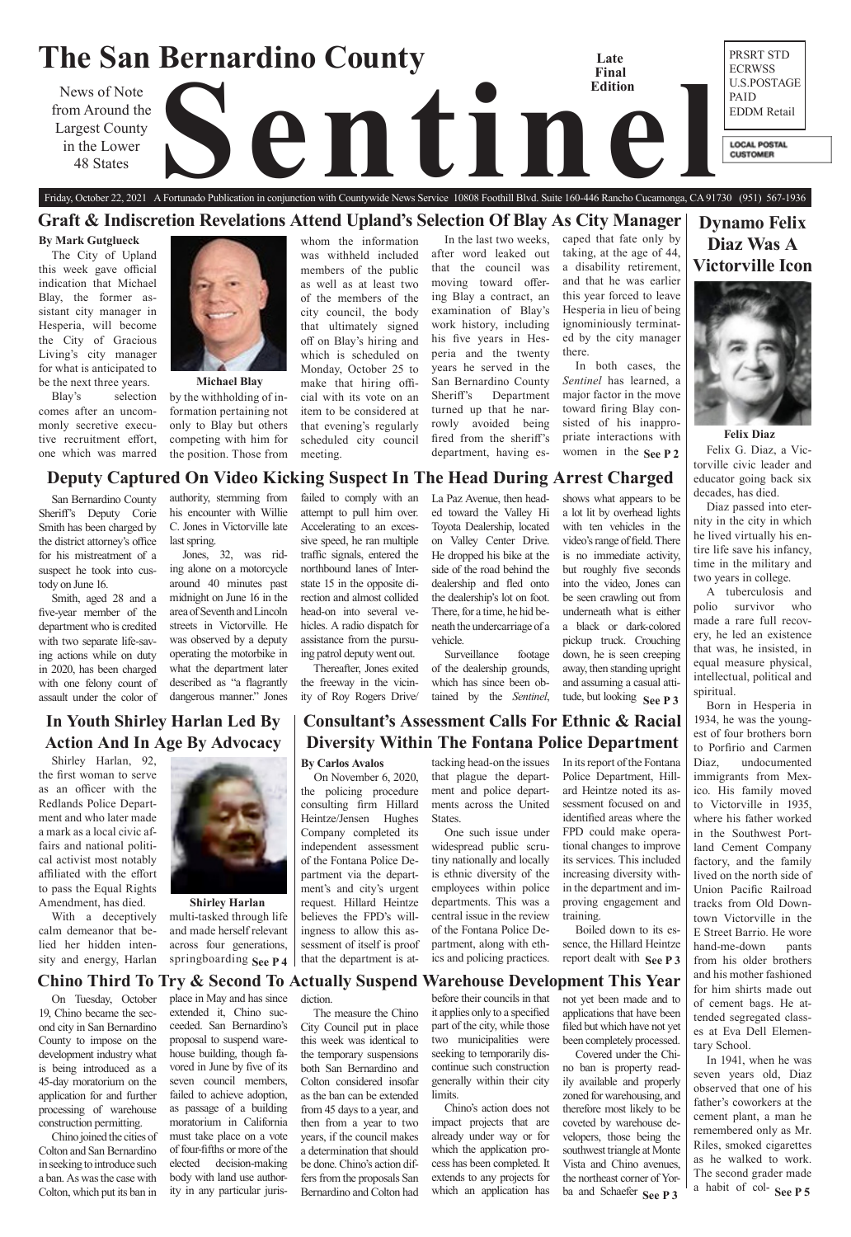## **The San Bernardino County** PRSRT STD **Late**  ECRWSS **Final**  U.S.POSTAGE **Edition** News of Note<br>rom Around the<br>in the Lower<br>48 States PAID from Around the EDDM Retail Largest County in the Lower **LOCAL POSTAL CUSTOMER** 48 States

**Dynamo Felix Diaz Was A Victorville Icon** 



# **In Youth Shirley Harlan Led By Action And In Age By Advocacy**

# Friday, October 22, 2021 A Fortunado Publication in conjunction with Countywide News Service 10808 Foothill Blvd. Suite 160-446 Rancho Cucamonga, CA 91730 (951) 567-1936 **Graft & Indiscretion Revelations Attend Upland's Selection Of Blay As City Manager**

# **Consultant's Assessment Calls For Ethnic & Racial Diversity Within The Fontana Police Department**

**Deputy Captured On Video Kicking Suspect In The Head During Arrest Charged**

multi-tasked through life and made herself relevant across four generations, springboarding See P4

# **Chino Third To Try & Second To Actually Suspend Warehouse Development This Year**

**Felix Diaz**

**Shirley Harlan** 

Shirley Harlan, 92, the first woman to serve as an officer with the Redlands Police Department and who later made a mark as a local civic affairs and national political activist most notably affiliated with the effort to pass the Equal Rights Amendment, has died.

With a deceptively calm demeanor that belied her hidden intensity and energy, Harlan



## **By Mark Gutglueck**

The City of Upland this week gave official indication that Michael Blay, the former assistant city manager in Hesperia, will become the City of Gracious Living's city manager for what is anticipated to be the next three years.

> women in the  $\text{See } P2$  Felix G. Diaz, a Victorville civic leader and educator going back six decades, has died.

Blay's selection comes after an uncommonly secretive executive recruitment effort, one which was marred

whom the information was withheld included members of the public as well as at least two of the members of the city council, the body that ultimately signed off on Blay's hiring and which is scheduled on Monday, October 25 to make that hiring official with its vote on an item to be considered at that evening's regularly scheduled city council meeting.

> a habit of col- **See P 5** In 1941, when he was seven years old, Diaz observed that one of his father's coworkers at the cement plant, a man he remembered only as Mr. Riles, smoked cigarettes as he walked to work. The second grader made

In the last two weeks, after word leaked out that the council was moving toward offering Blay a contract, an examination of Blay's work history, including his five years in Hesperia and the twenty years he served in the San Bernardino County Sheriff's Department turned up that he narrowly avoided being fired from the sheriff's department, having es-

**See P 4**  $\vert$  that the department is at ics and policing practices. report dealt with See P 3 One such issue under widespread public scrutiny nationally and locally is ethnic diversity of the employees within police departments. This was a central issue in the review of the Fontana Police Department, along with ethics and policing practices.

caped that fate only by taking, at the age of 44, a disability retirement, and that he was earlier this year forced to leave Hesperia in lieu of being ignominiously terminated by the city manager there.

In both cases, the *Sentinel* has learned, a major factor in the move toward firing Blay consisted of his inappropriate interactions with

> Diaz passed into eternity in the city in which he lived virtually his entire life save his infancy, time in the military and two years in college.

> A tuberculosis and polio survivor who made a rare full recovery, he led an existence that was, he insisted, in equal measure physical, intellectual, political and spiritual.

> Born in Hesperia in 1934, he was the youngest of four brothers born to Porfirio and Carmen Diaz, undocumented immigrants from Mexico. His family moved to Victorville in 1935, where his father worked in the Southwest Portland Cement Company factory, and the family lived on the north side of Union Pacific Railroad tracks from Old Downtown Victorville in the E Street Barrio. He wore hand-me-down pants from his older brothers

**See P 3** tude, but looking vehicle. Surveillance footage of the dealership grounds, which has since been obtained by the *Sentinel*, a black or dark-colored pickup truck. Crouching down, he is seen creeping away, then standing upright and assuming a casual atti-

and his mother fashioned for him shirts made out of cement bags. He attended segregated classes at Eva Dell Elementary School.

## **By Carlos Avalos**

On November 6, 2020, the policing procedure consulting firm Hillard Heintze/Jensen Hughes Company completed its independent assessment of the Fontana Police Department via the department's and city's urgent request. Hillard Heintze believes the FPD's willingness to allow this assessment of itself is proof that the department is at-

by the withholding of information pertaining not only to Blay but others competing with him for the position. Those from **Michael Blay**

> tacking head-on the issues that plague the department and police departments across the United States.

> > ba and Schaefer See P 3 not yet been made and to applications that have been filed but which have not yet been completely processed. Covered under the Chino ban is property readily available and properly zoned for warehousing, and therefore most likely to be coveted by warehouse developers, those being the southwest triangle at Monte Vista and Chino avenues, the northeast corner of Yor-

In its report of the Fontana Police Department, Hillard Heintze noted its assessment focused on and identified areas where the FPD could make operational changes to improve its services. This included increasing diversity within the department and improving engagement and training.

Boiled down to its essence, the Hillard Heintze

for his mistreatment of a suspect he took into cus-

tody on June 16.



San Bernardino County Sheriff's Deputy Corie Smith has been charged by the district attorney's office authority, stemming from his encounter with Willie C. Jones in Victorville late last spring.

Smith, aged 28 and a five-year member of the department who is credited with two separate life-saving actions while on duty in 2020, has been charged with one felony count of assault under the color of

Jones, 32, was riding alone on a motorcycle around 40 minutes past midnight on June 16 in the area of Seventh and Lincoln streets in Victorville. He was observed by a deputy operating the motorbike in what the department later described as "a flagrantly dangerous manner." Jones

failed to comply with an attempt to pull him over. Accelerating to an excessive speed, he ran multiple traffic signals, entered the northbound lanes of Interstate 15 in the opposite direction and almost collided head-on into several vehicles. A radio dispatch for assistance from the pursuing patrol deputy went out.

Thereafter, Jones exited the freeway in the vicinity of Roy Rogers Drive/

La Paz Avenue, then headed toward the Valley Hi Toyota Dealership, located on Valley Center Drive. He dropped his bike at the side of the road behind the dealership and fled onto the dealership's lot on foot. There, for a time, he hid beneath the undercarriage of a shows what appears to be a lot lit by overhead lights with ten vehicles in the video's range of field. There is no immediate activity, but roughly five seconds into the video, Jones can be seen crawling out from underneath what is either

On Tuesday, October 19, Chino became the second city in San Bernardino County to impose on the development industry what is being introduced as a 45-day moratorium on the application for and further processing of warehouse construction permitting.

Chino joined the cities of Colton and San Bernardino in seeking to introduce such a ban. As was the case with Colton, which put its ban in

place in May and has since extended it, Chino succeeded. San Bernardino's proposal to suspend warehouse building, though favored in June by five of its seven council members, failed to achieve adoption, as passage of a building moratorium in California must take place on a vote of four-fifths or more of the elected decision-making body with land use authority in any particular juris-

diction. The measure the Chino City Council put in place this week was identical to the temporary suspensions both San Bernardino and Colton considered insofar as the ban can be extended from 45 days to a year, and then from a year to two years, if the council makes a determination that should be done. Chino's action differs from the proposals San Bernardino and Colton had before their councils in that it applies only to a specified part of the city, while those two municipalities were seeking to temporarily discontinue such construction generally within their city limits.

Chino's action does not impact projects that are already under way or for which the application process has been completed. It extends to any projects for which an application has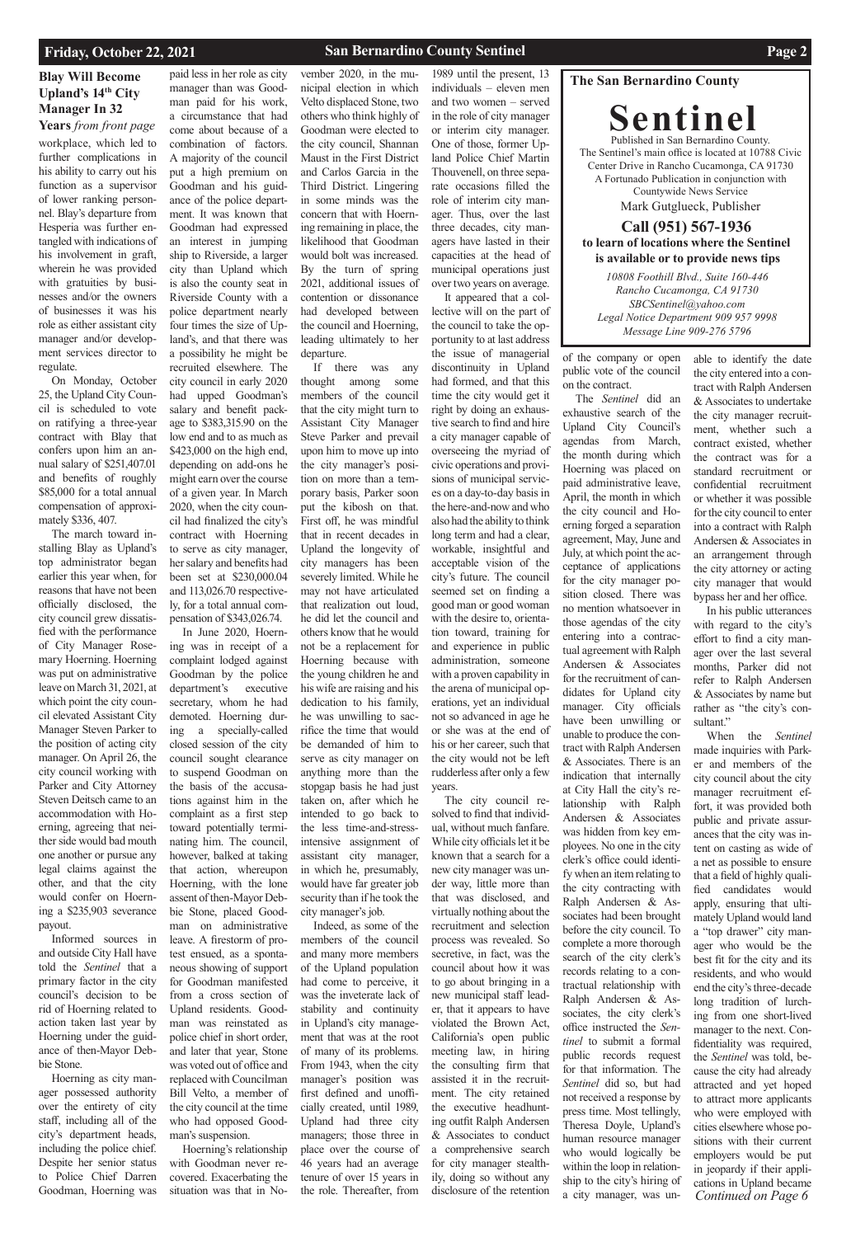## **San Bernardino County Sentinel Page 2**

## **The San Bernardino County**

**Sentinel** Published in San Bernardino County. The Sentinel's main office is located at 10788 Civic Center Drive in Rancho Cucamonga, CA 91730 A Fortunado Publication in conjunction with Countywide News Service Mark Gutglueck, Publisher

## **Call (951) 567-1936 to learn of locations where the Sentinel is available or to provide news tips**

## **Blay Will Become Upland's 14th City Manager In 32**

*10808 Foothill Blvd., Suite 160-446 Rancho Cucamonga, CA 91730 SBCSentinel@yahoo.com Legal Notice Department 909 957 9998 Message Line 909-276 5796*

## **Friday, October 22, 2021**

**Years** *from front page* workplace, which led to further complications in his ability to carry out his function as a supervisor of lower ranking personnel. Blay's departure from Hesperia was further entangled with indications of his involvement in graft, wherein he was provided with gratuities by businesses and/or the owners of businesses it was his role as either assistant city manager and/or development services director to regulate.

On Monday, October 25, the Upland City Council is scheduled to vote on ratifying a three-year contract with Blay that confers upon him an annual salary of \$251,407.01 and benefits of roughly \$85,000 for a total annual compensation of approximately \$336, 407.

The march toward installing Blay as Upland's top administrator began earlier this year when, for reasons that have not been officially disclosed, the city council grew dissatisfied with the performance of City Manager Rosemary Hoerning. Hoerning was put on administrative leave on March 31, 2021, at which point the city council elevated Assistant City Manager Steven Parker to the position of acting city manager. On April 26, the city council working with Parker and City Attorney Steven Deitsch came to an accommodation with Hoerning, agreeing that neither side would bad mouth one another or pursue any legal claims against the other, and that the city would confer on Hoerning a \$235,903 severance payout.

Informed sources in and outside City Hall have told the *Sentinel* that a

primary factor in the city council's decision to be rid of Hoerning related to action taken last year by Hoerning under the guidance of then-Mayor Debbie Stone.

Hoerning as city manager possessed authority over the entirety of city staff, including all of the city's department heads, including the police chief. Despite her senior status to Police Chief Darren Goodman, Hoerning was

paid less in her role as city manager than was Goodman paid for his work, a circumstance that had come about because of a combination of factors. A majority of the council put a high premium on Goodman and his guidance of the police department. It was known that Goodman had expressed an interest in jumping ship to Riverside, a larger city than Upland which is also the county seat in Riverside County with a police department nearly four times the size of Upland's, and that there was a possibility he might be recruited elsewhere. The city council in early 2020 had upped Goodman's salary and benefit package to \$383,315.90 on the low end and to as much as \$423,000 on the high end, depending on add-ons he might earn over the course of a given year. In March 2020, when the city council had finalized the city's contract with Hoerning to serve as city manager, her salary and benefits had been set at \$230,000.04 and 113,026.70 respectively, for a total annual compensation of \$343,026.74.

In June 2020, Hoerning was in receipt of a complaint lodged against Goodman by the police department's executive secretary, whom he had demoted. Hoerning during a specially-called closed session of the city council sought clearance to suspend Goodman on the basis of the accusations against him in the complaint as a first step toward potentially terminating him. The council, however, balked at taking that action, whereupon Hoerning, with the lone assent of then-Mayor Debbie Stone, placed Goodman on administrative leave. A firestorm of protest ensued, as a spontaneous showing of support for Goodman manifested from a cross section of Upland residents. Goodman was reinstated as police chief in short order, and later that year, Stone was voted out of office and replaced with Councilman Bill Velto, a member of the city council at the time who had opposed Goodman's suspension. Hoerning's relationship with Goodman never recovered. Exacerbating the situation was that in No-

vember 2020, in the municipal election in which Velto displaced Stone, two others who think highly of Goodman were elected to the city council, Shannan Maust in the First District and Carlos Garcia in the Third District. Lingering in some minds was the concern that with Hoerning remaining in place, the likelihood that Goodman would bolt was increased. By the turn of spring 2021, additional issues of contention or dissonance had developed between the council and Hoerning, leading ultimately to her departure.

> In his public utterances with regard to the city's effort to find a city manager over the last several months, Parker did not refer to Ralph Andersen & Associates by name but rather as "the city's consultant."

If there was any thought among some members of the council that the city might turn to Assistant City Manager Steve Parker and prevail upon him to move up into the city manager's position on more than a temporary basis, Parker soon put the kibosh on that. First off, he was mindful that in recent decades in Upland the longevity of city managers has been severely limited. While he may not have articulated that realization out loud, he did let the council and others know that he would not be a replacement for Hoerning because with the young children he and his wife are raising and his dedication to his family, he was unwilling to sacrifice the time that would be demanded of him to serve as city manager on anything more than the stopgap basis he had just taken on, after which he intended to go back to the less time-and-stressintensive assignment of assistant city manager, in which he, presumably, would have far greater job security than if he took the city manager's job.

*Continued on Page 6* When the *Sentinel* made inquiries with Parker and members of the city council about the city manager recruitment effort, it was provided both public and private assurances that the city was intent on casting as wide of a net as possible to ensure that a field of highly qualified candidates would apply, ensuring that ultimately Upland would land a "top drawer" city manager who would be the best fit for the city and its residents, and who would end the city's three-decade long tradition of lurching from one short-lived manager to the next. Confidentiality was required, the *Sentinel* was told, because the city had already attracted and yet hoped to attract more applicants who were employed with cities elsewhere whose positions with their current employers would be put in jeopardy if their applications in Upland became

Indeed, as some of the members of the council and many more members of the Upland population had come to perceive, it was the inveterate lack of stability and continuity in Upland's city management that was at the root of many of its problems. From 1943, when the city manager's position was first defined and unofficially created, until 1989, Upland had three city managers; those three in place over the course of 46 years had an average tenure of over 15 years in the role. Thereafter, from

1989 until the present, 13 individuals – eleven men and two women – served in the role of city manager or interim city manager. One of those, former Upland Police Chief Martin Thouvenell, on three separate occasions filled the role of interim city manager. Thus, over the last three decades, city managers have lasted in their capacities at the head of municipal operations just over two years on average.

It appeared that a collective will on the part of the council to take the opportunity to at last address the issue of managerial discontinuity in Upland had formed, and that this time the city would get it right by doing an exhaustive search to find and hire a city manager capable of overseeing the myriad of civic operations and provisions of municipal services on a day-to-day basis in the here-and-now and who also had the ability to think long term and had a clear, workable, insightful and acceptable vision of the city's future. The council seemed set on finding a good man or good woman with the desire to, orientation toward, training for and experience in public administration, someone with a proven capability in the arena of municipal operations, yet an individual not so advanced in age he or she was at the end of his or her career, such that the city would not be left rudderless after only a few years.

The city council resolved to find that individual, without much fanfare. While city officials let it be known that a search for a new city manager was under way, little more than that was disclosed, and virtually nothing about the recruitment and selection process was revealed. So secretive, in fact, was the council about how it was to go about bringing in a new municipal staff leader, that it appears to have violated the Brown Act, California's open public meeting law, in hiring the consulting firm that assisted it in the recruitment. The city retained the executive headhunting outfit Ralph Andersen & Associates to conduct a comprehensive search for city manager stealthily, doing so without any disclosure of the retention

of the company or open public vote of the council on the contract.

The *Sentinel* did an exhaustive search of the Upland City Council's agendas from March, the month during which Hoerning was placed on paid administrative leave, April, the month in which the city council and Hoerning forged a separation agreement, May, June and July, at which point the acceptance of applications for the city manager position closed. There was no mention whatsoever in those agendas of the city entering into a contractual agreement with Ralph Andersen & Associates for the recruitment of candidates for Upland city manager. City officials have been unwilling or unable to produce the contract with Ralph Andersen & Associates. There is an indication that internally at City Hall the city's relationship with Ralph Andersen & Associates was hidden from key employees. No one in the city clerk's office could identify when an item relating to the city contracting with Ralph Andersen & Associates had been brought before the city council. To complete a more thorough search of the city clerk's records relating to a contractual relationship with Ralph Andersen & Associates, the city clerk's office instructed the *Sentinel* to submit a formal public records request for that information. The *Sentinel* did so, but had not received a response by press time. Most tellingly, Theresa Doyle, Upland's human resource manager who would logically be within the loop in relationship to the city's hiring of a city manager, was unable to identify the date the city entered into a contract with Ralph Andersen & Associates to undertake the city manager recruitment, whether such a contract existed, whether the contract was for a standard recruitment or confidential recruitment or whether it was possible for the city council to enter into a contract with Ralph Andersen & Associates in an arrangement through the city attorney or acting city manager that would bypass her and her office.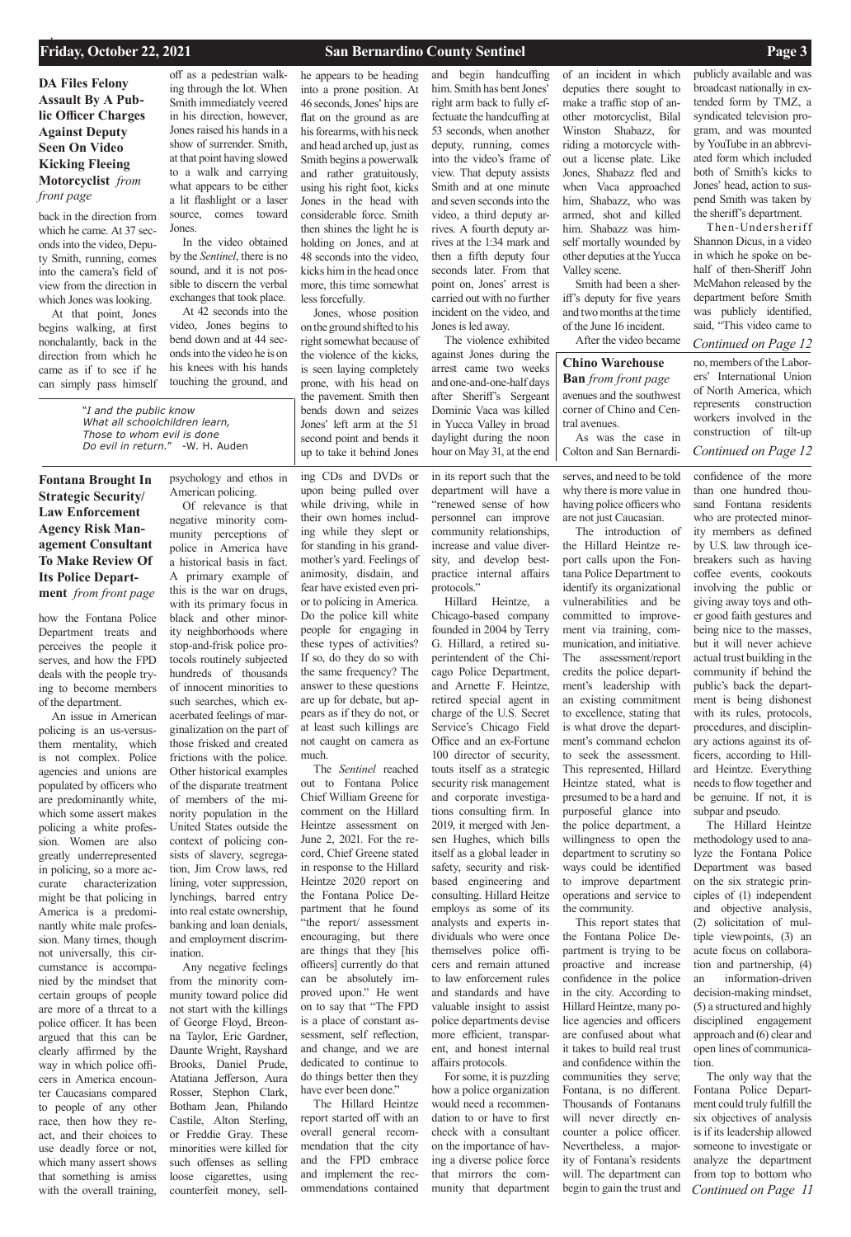## **Friday, October 22, 2021** 1 **San Bernardino County Sentinel 1 <b>Page 3 Page 3**

*Continued on Page 12*

**DA Files Felony Assault By A Public Officer Charges Against Deputy Seen On Video Kicking Fleeing Motorcyclist** *from front page*

# **Chino Warehouse**

how the Fontana Police Department treats and perceives the people it serves, and how the FPD deals with the people trying to become members of the department.

An issue in American policing is an us-versusthem mentality, which is not complex. Police agencies and unions are populated by officers who are predominantly white, which some assert makes policing a white profession. Women are also greatly underrepresented in policing, so a more accurate characterization might be that policing in America is a predominantly white male profession. Many times, though not universally, this circumstance is accompanied by the mindset that certain groups of people are more of a threat to a police officer. It has been argued that this can be clearly affirmed by the way in which police officers in America encounter Caucasians compared to people of any other race, then how they react, and their choices to use deadly force or not, which many assert shows that something is amiss with the overall training,

psychology and ethos in American policing.

Of relevance is that negative minority community perceptions of police in America have a historical basis in fact. A primary example of this is the war on drugs, with its primary focus in black and other minority neighborhoods where stop-and-frisk police protocols routinely subjected hundreds of thousands of innocent minorities to such searches, which exacerbated feelings of marginalization on the part of those frisked and created frictions with the police. Other historical examples of the disparate treatment of members of the minority population in the United States outside the context of policing consists of slavery, segregation, Jim Crow laws, red lining, voter suppression, lynchings, barred entry into real estate ownership, banking and loan denials, and employment discrimination. Any negative feelings from the minority community toward police did not start with the killings of George Floyd, Breonna Taylor, Eric Gardner, Daunte Wright, Rayshard Brooks, Daniel Prude, Atatiana Jefferson, Aura Rosser, Stephon Clark, Botham Jean, Philando Castile, Alton Sterling, or Freddie Gray. These minorities were killed for such offenses as selling loose cigarettes, using counterfeit money, sell-

rs and remain attuned to law enforcement rules and standards and have valuable insight to assist police departments devise more efficient, transparent, and honest internal affairs protocols. For some, it is puzzling

ing CDs and DVDs or upon being pulled over while driving, while in their own homes including while they slept or for standing in his grandmother's yard. Feelings of animosity, disdain, and fear have existed even prior to policing in America. Do the police kill white people for engaging in these types of activities? If so, do they do so with the same frequency? The answer to these questions are up for debate, but appears as if they do not, or at least such killings are not caught on camera as much.

The *Sentinel* reached out to Fontana Police Chief William Greene for comment on the Hillard Heintze assessment on June 2, 2021. For the record, Chief Greene stated in response to the Hillard Heintze 2020 report on the Fontana Police Department that he found "the report/ assessment encouraging, but there are things that they [his officers] currently do that can be absolutely improved upon." He went on to say that "The FPD is a place of constant assessment, self reflection, and change, and we are dedicated to continue to do things better then they have ever been done." The Hillard Heintze report started off with an overall general recommendation that the city and the FPD embrace and implement the recommendations contained

*Continued on Page 11* The Hillard Heintze methodology used to analyze the Fontana Police Department was based on the six strategic principles of (1) independent and objective analysis, (2) solicitation of multiple viewpoints, (3) an acute focus on collaboration and partnership, (4) an information-driven decision-making mindset, (5) a structured and highly disciplined engagement approach and (6) clear and open lines of communication. The only way that the Fontana Police Department could truly fulfill the six objectives of analysis is if its leadership allowed someone to investigate or analyze the department from top to bottom who

in its report such that the department will have a "renewed sense of how personnel can improve community relationships, increase and value diversity, and develop bestpractice internal affairs protocols."

Hillard Heintze, a Chicago-based company founded in 2004 by Terry G. Hillard, a retired superintendent of the Chicago Police Department, and Arnette F. Heintze, retired special agent in charge of the U.S. Secret Service's Chicago Field Office and an ex-Fortune 100 director of security, touts itself as a strategic security risk management and corporate investigations consulting firm. In 2019, it merged with Jensen Hughes, which bills itself as a global leader in safety, security and riskbased engineering and consulting. Hillard Heitze employs as some of its analysts and experts individuals who were once themselves police offi-

how a police organization would need a recommendation to or have to first check with a consultant on the importance of having a diverse police force that mirrors the community that department

serves, and need to be told why there is more value in having police officers who are not just Caucasian.

The introduction of the Hillard Heintze report calls upon the Fontana Police Department to identify its organizational vulnerabilities and be committed to improvement via training, communication, and initiative. The assessment/report credits the police department's leadership with an existing commitment to excellence, stating that is what drove the department's command echelon to seek the assessment. This represented, Hillard Heintze stated, what is presumed to be a hard and purposeful glance into the police department, a willingness to open the department to scrutiny so ways could be identified to improve department operations and service to the community.

**Ban** *from front page* avenues and the southwest corner of Chino and Central avenues.

This report states that the Fontana Police Department is trying to be proactive and increase

confidence in the police in the city. According to Hillard Heintze, many police agencies and officers are confused about what it takes to build real trust and confidence within the

communities they serve; Fontana, is no different. Thousands of Fontanans will never directly encounter a police officer. Nevertheless, a majority of Fontana's residents will. The department can begin to gain the trust and

confidence of the more than one hundred thousand Fontana residents who are protected minority members as defined by U.S. law through icebreakers such as having coffee events, cookouts involving the public or giving away toys and other good faith gestures and being nice to the masses, but it will never achieve actual trust building in the community if behind the public's back the department is being dishonest with its rules, protocols, procedures, and disciplinary actions against its officers, according to Hillard Heintze. Everything needs to flow together and be genuine. If not, it is subpar and pseudo.

back in the direction from which he came. At 37 seconds into the video, Deputy Smith, running, comes into the camera's field of view from the direction in which Jones was looking.

At that point, Jones begins walking, at first nonchalantly, back in the direction from which he came as if to see if he can simply pass himself

off as a pedestrian walking through the lot. When Smith immediately veered in his direction, however, Jones raised his hands in a show of surrender. Smith, at that point having slowed to a walk and carrying what appears to be either a lit flashlight or a laser source, comes toward Jones.

In the video obtained by the *Sentinel*, there is no sound, and it is not possible to discern the verbal exchanges that took place.

At 42 seconds into the video, Jones begins to bend down and at 44 seconds into the video he is on his knees with his hands touching the ground, and he appears to be heading into a prone position. At 46 seconds, Jones' hips are flat on the ground as are his forearms, with his neck and head arched up, just as Smith begins a powerwalk and rather gratuitously, using his right foot, kicks Jones in the head with considerable force. Smith then shines the light he is holding on Jones, and at 48 seconds into the video, kicks him in the head once more, this time somewhat less forcefully.

Jones, whose position on the ground shifted to his right somewhat because of the violence of the kicks, is seen laying completely prone, with his head on the pavement. Smith then bends down and seizes Jones' left arm at the 51 second point and bends it up to take it behind Jones

and begin handcuffing him. Smith has bent Jones' right arm back to fully effectuate the handcuffing at 53 seconds, when another deputy, running, comes into the video's frame of view. That deputy assists Smith and at one minute and seven seconds into the video, a third deputy arrives. A fourth deputy arrives at the 1:34 mark and then a fifth deputy four seconds later. From that point on, Jones' arrest is carried out with no further incident on the video, and Jones is led away.

The violence exhibited against Jones during the arrest came two weeks and one-and-one-half days after Sheriff's Sergeant Dominic Vaca was killed in Yucca Valley in broad daylight during the noon hour on May 31, at the end of an incident in which deputies there sought to make a traffic stop of another motorcyclist, Bilal Winston Shabazz, for riding a motorcycle without a license plate. Like Jones, Shabazz fled and when Vaca approached him, Shabazz, who was armed, shot and killed him. Shabazz was himself mortally wounded by other deputies at the Yucca Valley scene.

Smith had been a sheriff's deputy for five years and two months at the time of the June 16 incident.

After the video became

publicly available and was broadcast nationally in extended form by TMZ, a syndicated television program, and was mounted by YouTube in an abbreviated form which included both of Smith's kicks to Jones' head, action to suspend Smith was taken by the sheriff's department.

Then-Undersheriff Shannon Dicus, in a video in which he spoke on behalf of then-Sheriff John McMahon released by the department before Smith was publicly identified, said, "This video came to

**Fontana Brought In Strategic Security/ Law Enforcement Agency Risk Management Consultant To Make Review Of Its Police Department** *from front page*

As was the case in Colton and San Bernardi-

no, members of the Laborers' International Union of North America, which represents construction workers involved in the construction of tilt-up *Continued on Page 12*

"*I and the public know What all schoolchildren learn, Those to whom evil is done Do evil in return.*" -W. H. Auden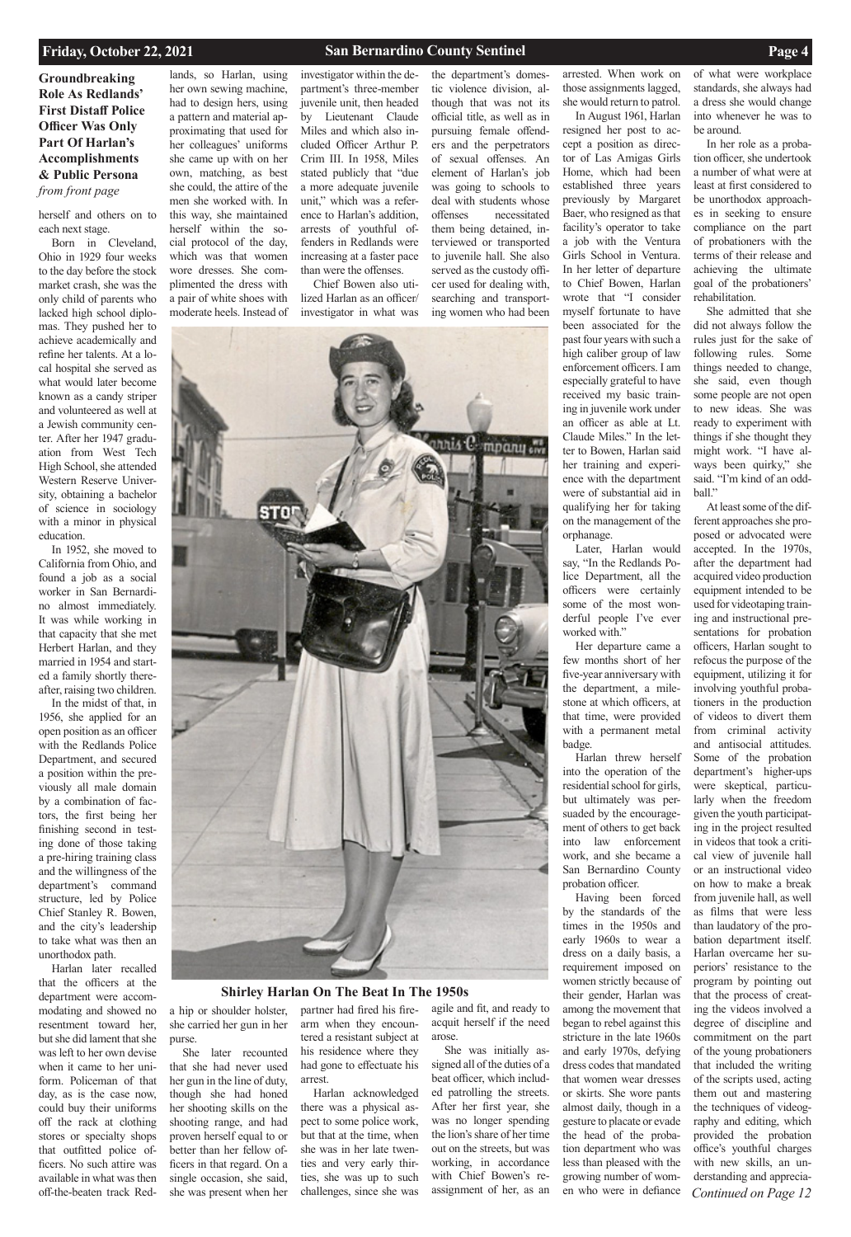**Groundbreaking Role As Redlands' First Distaff Police Officer Was Only Part Of Harlan's Accomplishments & Public Persona**  *from front page* 

## **Shirley Harlan On The Beat In The 1950s**

herself and others on to each next stage.

Born in Cleveland, Ohio in 1929 four weeks to the day before the stock market crash, she was the only child of parents who lacked high school diplomas. They pushed her to achieve academically and refine her talents. At a local hospital she served as what would later become known as a candy striper and volunteered as well at a Jewish community center. After her 1947 graduation from West Tech High School, she attended Western Reserve University, obtaining a bachelor of science in sociology with a minor in physical education.

In 1952, she moved to California from Ohio, and found a job as a social worker in San Bernardino almost immediately. It was while working in that capacity that she met Herbert Harlan, and they married in 1954 and started a family shortly thereafter, raising two children.

In the midst of that, in 1956, she applied for an open position as an officer with the Redlands Police Department, and secured a position within the previously all male domain by a combination of factors, the first being her finishing second in testing done of those taking a pre-hiring training class and the willingness of the department's command structure, led by Police Chief Stanley R. Bowen, and the city's leadership to take what was then an unorthodox path. Harlan later recalled that the officers at the department were accommodating and showed no resentment toward her, but she did lament that she was left to her own devise when it came to her uniform. Policeman of that day, as is the case now, could buy their uniforms off the rack at clothing stores or specialty shops that outfitted police officers. No such attire was available in what was then off-the-beaten track Red-

Later, Harlan would say, "In the Redlands Police Department, all the officers were certainly some of the most wonderful people I've ever worked with."

lands, so Harlan, using her own sewing machine, had to design hers, using a pattern and material approximating that used for her colleagues' uniforms she came up with on her own, matching, as best she could, the attire of the men she worked with. In this way, she maintained herself within the social protocol of the day, which was that women wore dresses. She complimented the dress with a pair of white shoes with

moderate heels. Instead of

investigator within the department's three-member juvenile unit, then headed by Lieutenant Claude Miles and which also included Officer Arthur P. Crim III. In 1958, Miles stated publicly that "due a more adequate juvenile unit," which was a reference to Harlan's addition, arrests of youthful offenders in Redlands were increasing at a faster pace than were the offenses.

Chief Bowen also utilized Harlan as an officer/ investigator in what was the department's domestic violence division, although that was not its official title, as well as in pursuing female offenders and the perpetrators of sexual offenses. An element of Harlan's job was going to schools to deal with students whose offenses necessitated them being detained, interviewed or transported to juvenile hall. She also served as the custody officer used for dealing with, searching and transporting women who had been



arrested. When work on those assignments lagged, she would return to patrol. In August 1961, Harlan

> *Continued on Page 12* At least some of the different approaches she proposed or advocated were accepted. In the 1970s, after the department had acquired video production equipment intended to be used for videotaping training and instructional presentations for probation officers, Harlan sought to refocus the purpose of the equipment, utilizing it for involving youthful probationers in the production of videos to divert them from criminal activity and antisocial attitudes. Some of the probation department's higher-ups were skeptical, particularly when the freedom given the youth participating in the project resulted in videos that took a critical view of juvenile hall or an instructional video on how to make a break from juvenile hall, as well as films that were less than laudatory of the probation department itself. Harlan overcame her superiors' resistance to the program by pointing out that the process of creating the videos involved a degree of discipline and commitment on the part of the young probationers that included the writing of the scripts used, acting them out and mastering the techniques of videography and editing, which provided the probation office's youthful charges with new skills, an understanding and apprecia-

resigned her post to accept a position as director of Las Amigas Girls Home, which had been established three years previously by Margaret Baer, who resigned as that facility's operator to take a job with the Ventura Girls School in Ventura. In her letter of departure to Chief Bowen, Harlan wrote that "I consider myself fortunate to have been associated for the past four years with such a high caliber group of law enforcement officers. I am especially grateful to have received my basic training in juvenile work under an officer as able at Lt. Claude Miles." In the letter to Bowen, Harlan said her training and experience with the department were of substantial aid in qualifying her for taking on the management of the orphanage.

Her departure came a few months short of her five-year anniversary with the department, a milestone at which officers, at that time, were provided with a permanent metal badge.

Harlan threw herself into the operation of the residential school for girls, but ultimately was persuaded by the encouragement of others to get back into law enforcement work, and she became a San Bernardino County probation officer.

Having been forced by the standards of the times in the 1950s and early 1960s to wear a dress on a daily basis, a

requirement imposed on women strictly because of their gender, Harlan was among the movement that began to rebel against this stricture in the late 1960s and early 1970s, defying dress codes that mandated that women wear dresses or skirts. She wore pants almost daily, though in a gesture to placate or evade the head of the probation department who was less than pleased with the growing number of women who were in defiance

of what were workplace standards, she always had a dress she would change into whenever he was to be around.

In her role as a probation officer, she undertook a number of what were at least at first considered to be unorthodox approaches in seeking to ensure compliance on the part of probationers with the terms of their release and achieving the ultimate goal of the probationers' rehabilitation.

She admitted that she did not always follow the rules just for the sake of following rules. Some things needed to change, she said, even though some people are not open to new ideas. She was ready to experiment with things if she thought they might work. "I have always been quirky," she said. "I'm kind of an oddball."

a hip or shoulder holster, she carried her gun in her purse.

She later recounted that she had never used her gun in the line of duty, though she had honed her shooting skills on the shooting range, and had proven herself equal to or better than her fellow officers in that regard. On a single occasion, she said, she was present when her

partner had fired his firearm when they encountered a resistant subject at his residence where they had gone to effectuate his arrest.

Harlan acknowledged there was a physical aspect to some police work, but that at the time, when she was in her late twenties and very early thirties, she was up to such challenges, since she was

agile and fit, and ready to acquit herself if the need arose.

She was initially assigned all of the duties of a beat officer, which included patrolling the streets. After her first year, she was no longer spending the lion's share of her time out on the streets, but was working, in accordance with Chief Bowen's reassignment of her, as an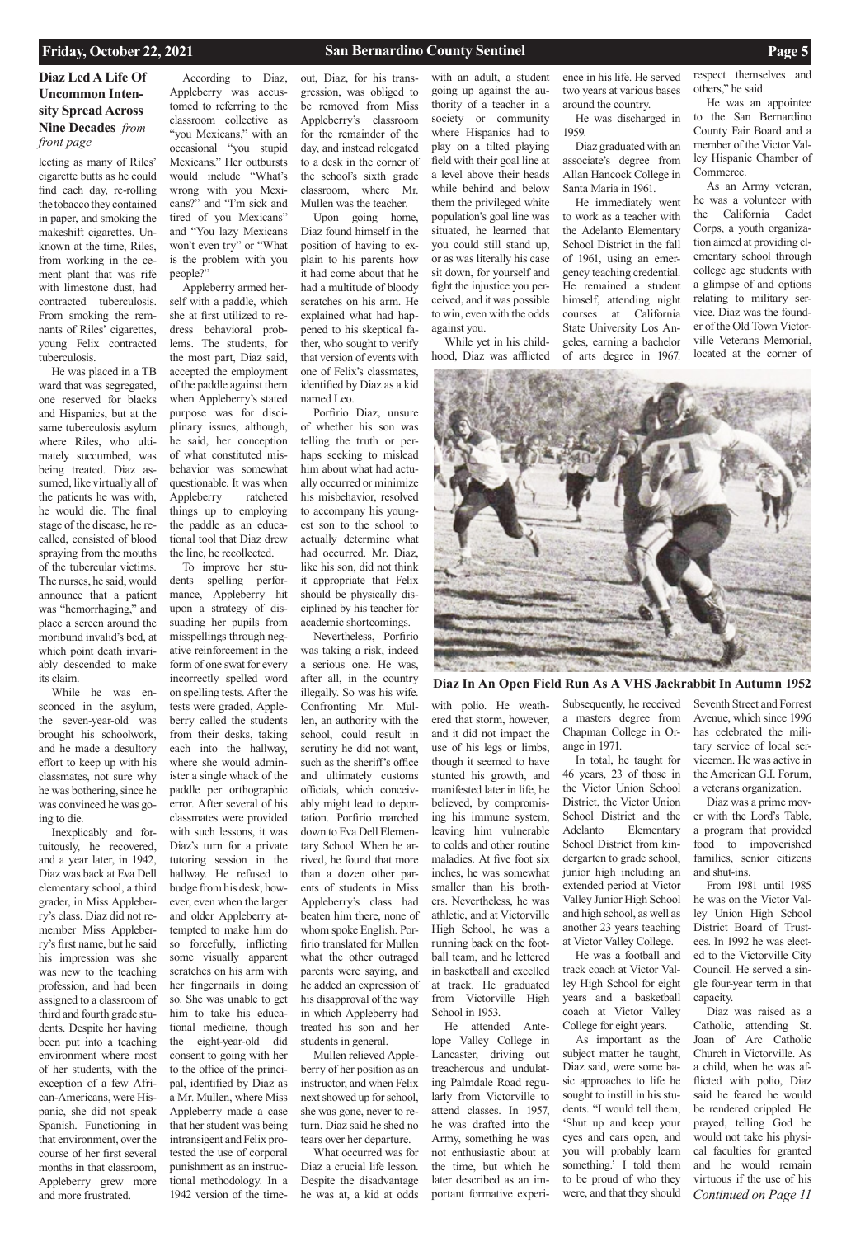## **Diaz Led A Life Of Uncommon Intensity Spread Across Nine Decades** *from front page*

lecting as many of Riles' cigarette butts as he could find each day, re-rolling the tobacco they contained in paper, and smoking the makeshift cigarettes. Unknown at the time, Riles, from working in the cement plant that was rife with limestone dust, had contracted tuberculosis. From smoking the remnants of Riles' cigarettes, young Felix contracted tuberculosis.

He was placed in a TB ward that was segregated, one reserved for blacks and Hispanics, but at the same tuberculosis asylum where Riles, who ultimately succumbed, was being treated. Diaz assumed, like virtually all of the patients he was with, he would die. The final stage of the disease, he recalled, consisted of blood spraying from the mouths of the tubercular victims. The nurses, he said, would announce that a patient was "hemorrhaging," and place a screen around the moribund invalid's bed, at which point death invariably descended to make its claim.

While he was ensconced in the asylum, the seven-year-old was brought his schoolwork, and he made a desultory effort to keep up with his classmates, not sure why he was bothering, since he was convinced he was going to die.

Inexplicably and fortuitously, he recovered, and a year later, in 1942, Diaz was back at Eva Dell elementary school, a third grader, in Miss Appleberry's class. Diaz did not remember Miss Appleberry's first name, but he said his impression was she was new to the teaching profession, and had been assigned to a classroom of third and fourth grade students. Despite her having been put into a teaching environment where most of her students, with the exception of a few African-Americans, were Hispanic, she did not speak Spanish. Functioning in that environment, over the course of her first several months in that classroom, Appleberry grew more and more frustrated.

According to Diaz, Appleberry was accustomed to referring to the classroom collective as "you Mexicans," with an occasional "you stupid Mexicans." Her outbursts would include "What's wrong with you Mexicans?" and "I'm sick and tired of you Mexicans" and "You lazy Mexicans won't even try" or "What is the problem with you people?"

Appleberry armed herself with a paddle, which she at first utilized to redress behavioral problems. The students, for the most part, Diaz said, accepted the employment of the paddle against them when Appleberry's stated purpose was for disciplinary issues, although, he said, her conception of what constituted misbehavior was somewhat questionable. It was when Appleberry ratcheted things up to employing the paddle as an educational tool that Diaz drew the line, he recollected.

To improve her students spelling performance, Appleberry hit upon a strategy of dissuading her pupils from misspellings through negative reinforcement in the form of one swat for every incorrectly spelled word on spelling tests. After the tests were graded, Appleberry called the students from their desks, taking each into the hallway, where she would administer a single whack of the paddle per orthographic error. After several of his classmates were provided with such lessons, it was Diaz's turn for a private tutoring session in the hallway. He refused to budge from his desk, however, even when the larger and older Appleberry attempted to make him do so forcefully, inflicting some visually apparent scratches on his arm with her fingernails in doing so. She was unable to get him to take his educational medicine, though the eight-year-old did consent to going with her to the office of the principal, identified by Diaz as a Mr. Mullen, where Miss Appleberry made a case that her student was being intransigent and Felix protested the use of corporal punishment as an instructional methodology. In a 1942 version of the timeout, Diaz, for his transgression, was obliged to be removed from Miss Appleberry's classroom for the remainder of the day, and instead relegated to a desk in the corner of the school's sixth grade classroom, where Mr. Mullen was the teacher.

Upon going home, Diaz found himself in the position of having to explain to his parents how it had come about that he had a multitude of bloody scratches on his arm. He explained what had happened to his skeptical father, who sought to verify that version of events with one of Felix's classmates, identified by Diaz as a kid named Leo.

Porfirio Diaz, unsure of whether his son was telling the truth or perhaps seeking to mislead him about what had actually occurred or minimize his misbehavior, resolved to accompany his youngest son to the school to actually determine what had occurred. Mr. Diaz, like his son, did not think it appropriate that Felix should be physically disciplined by his teacher for academic shortcomings.

> *Continued on Page 11* From 1981 until 1985 he was on the Victor Valley Union High School District Board of Trustees. In 1992 he was elected to the Victorville City Council. He served a single four-year term in that capacity. Diaz was raised as a Catholic, attending St. Joan of Arc Catholic Church in Victorville. As a child, when he was afflicted with polio, Diaz said he feared he would be rendered crippled. He prayed, telling God he would not take his physical faculties for granted and he would remain virtuous if the use of his

Nevertheless, Porfirio was taking a risk, indeed a serious one. He was, after all, in the country illegally. So was his wife. Confronting Mr. Mullen, an authority with the school, could result in scrutiny he did not want, such as the sheriff's office and ultimately customs officials, which conceivably might lead to deportation. Porfirio marched down to Eva Dell Elementary School. When he arrived, he found that more than a dozen other parents of students in Miss Appleberry's class had beaten him there, none of whom spoke English. Porfirio translated for Mullen what the other outraged parents were saying, and he added an expression of his disapproval of the way in which Appleberry had treated his son and her students in general. Mullen relieved Appleberry of her position as an instructor, and when Felix next showed up for school, she was gone, never to return. Diaz said he shed no tears over her departure. What occurred was for Diaz a crucial life lesson. Despite the disadvantage he was at, a kid at odds

with an adult, a student going up against the authority of a teacher in a society or community where Hispanics had to play on a tilted playing field with their goal line at a level above their heads while behind and below them the privileged white population's goal line was situated, he learned that you could still stand up, or as was literally his case sit down, for yourself and fight the injustice you perceived, and it was possible to win, even with the odds against you.

While yet in his childhood, Diaz was afflicted

with polio. He weathered that storm, however, and it did not impact the use of his legs or limbs, though it seemed to have stunted his growth, and manifested later in life, he believed, by compromising his immune system, leaving him vulnerable to colds and other routine maladies. At five foot six inches, he was somewhat smaller than his brothers. Nevertheless, he was athletic, and at Victorville High School, he was a running back on the football team, and he lettered in basketball and excelled at track. He graduated from Victorville High School in 1953. He attended Antelope Valley College in Lancaster, driving out treacherous and undulating Palmdale Road regularly from Victorville to attend classes. In 1957, he was drafted into the Army, something he was not enthusiastic about at the time, but which he later described as an important formative experi-

ence in his life. He served two years at various bases around the country.

He was discharged in 1959.

Diaz graduated with an associate's degree from Allan Hancock College in Santa Maria in 1961.

He immediately went to work as a teacher with the Adelanto Elementary School District in the fall of 1961, using an emergency teaching credential. He remained a student himself, attending night courses at California State University Los Angeles, earning a bachelor of arts degree in 1967.

Subsequently, he received a masters degree from Chapman College in Orange in 1971.

In total, he taught for 46 years, 23 of those in the Victor Union School District, the Victor Union School District and the Adelanto Elementary School District from kindergarten to grade school, junior high including an extended period at Victor Valley Junior High School and high school, as well as another 23 years teaching at Victor Valley College.

He was a football and

track coach at Victor Valley High School for eight years and a basketball coach at Victor Valley College for eight years. As important as the subject matter he taught, Diaz said, were some basic approaches to life he sought to instill in his students. "I would tell them, 'Shut up and keep your eyes and ears open, and you will probably learn something.' I told them to be proud of who they were, and that they should

respect themselves and others," he said.

He was an appointee to the San Bernardino County Fair Board and a member of the Victor Valley Hispanic Chamber of Commerce.

As an Army veteran, he was a volunteer with the California Cadet Corps, a youth organization aimed at providing elementary school through college age students with a glimpse of and options relating to military service. Diaz was the founder of the Old Town Victorville Veterans Memorial, located at the corner of



Seventh Street and Forrest Avenue, which since 1996 has celebrated the military service of local servicemen. He was active in the American G.I. Forum, a veterans organization.

Diaz was a prime mover with the Lord's Table, a program that provided food to impoverished families, senior citizens and shut-ins.

**Diaz In An Open Field Run As A VHS Jackrabbit In Autumn 1952**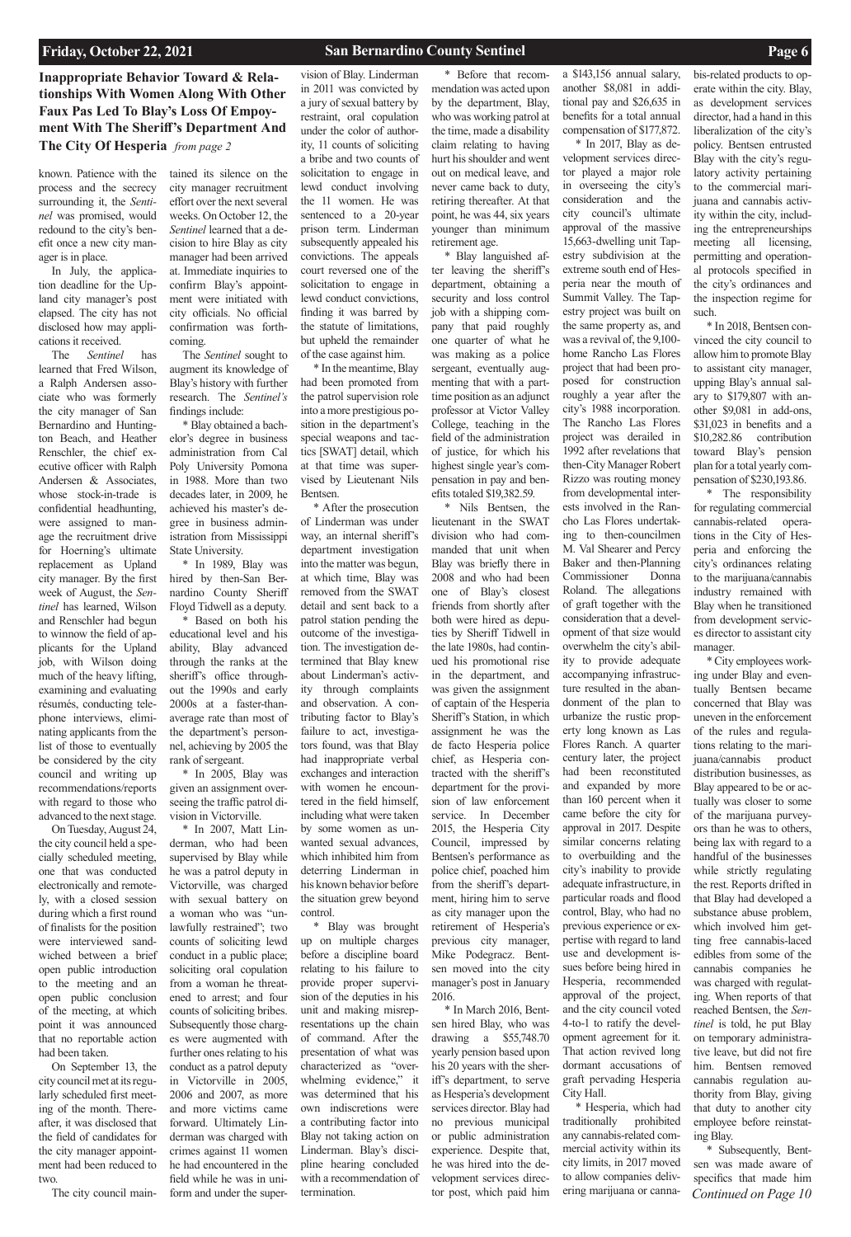**Inappropriate Behavior Toward & Relationships With Women Along With Other Faux Pas Led To Blay's Loss Of Empoyment With The Sheriff's Department And The City Of Hesperia** *from page 2*

known. Patience with the process and the secrecy surrounding it, the *Sentinel* was promised, would redound to the city's benefit once a new city manager is in place.

In July, the application deadline for the Upland city manager's post elapsed. The city has not disclosed how may applications it received.

The *Sentinel* has learned that Fred Wilson, a Ralph Andersen associate who was formerly the city manager of San Bernardino and Huntington Beach, and Heather Renschler, the chief executive officer with Ralph Andersen & Associates, whose stock-in-trade is confidential headhunting, were assigned to manage the recruitment drive for Hoerning's ultimate replacement as Upland city manager. By the first week of August, the *Sentinel* has learned, Wilson and Renschler had begun to winnow the field of applicants for the Upland job, with Wilson doing much of the heavy lifting, examining and evaluating résumés, conducting telephone interviews, eliminating applicants from the list of those to eventually be considered by the city council and writing up recommendations/reports with regard to those who advanced to the next stage.

On Tuesday, August 24, the city council held a specially scheduled meeting, one that was conducted electronically and remotely, with a closed session during which a first round of finalists for the position were interviewed sandwiched between a brief open public introduction to the meeting and an open public conclusion of the meeting, at which point it was announced that no reportable action had been taken. On September 13, the city council met at its regularly scheduled first meeting of the month. Thereafter, it was disclosed that the field of candidates for the city manager appointment had been reduced to two.

tained its silence on the city manager recruitment effort over the next several weeks. On October 12, the *Sentinel* learned that a decision to hire Blay as city manager had been arrived at. Immediate inquiries to confirm Blay's appointment were initiated with city officials. No official confirmation was forthcoming.

The *Sentinel* sought to augment its knowledge of Blay's history with further research. The *Sentinel's*  findings include:

\* Blay obtained a bachelor's degree in business administration from Cal Poly University Pomona in 1988. More than two decades later, in 2009, he achieved his master's degree in business administration from Mississippi State University.

\* In 1989, Blay was hired by then-San Bernardino County Sheriff Floyd Tidwell as a deputy.

The city council main-\* In 2007, Matt Linderman, who had been supervised by Blay while he was a patrol deputy in Victorville, was charged with sexual battery on a woman who was "unlawfully restrained"; two counts of soliciting lewd conduct in a public place; soliciting oral copulation from a woman he threatened to arrest; and four counts of soliciting bribes. Subsequently those charges were augmented with further ones relating to his conduct as a patrol deputy in Victorville in 2005, 2006 and 2007, as more and more victims came forward. Ultimately Linderman was charged with crimes against 11 women he had encountered in the field while he was in uniform and under the super-

\* Based on both his educational level and his ability, Blay advanced through the ranks at the sheriff's office throughout the 1990s and early 2000s at a faster-thanaverage rate than most of the department's personnel, achieving by 2005 the rank of sergeant.

\* In 2005, Blay was given an assignment overseeing the traffic patrol division in Victorville.

vision of Blay. Linderman in 2011 was convicted by a jury of sexual battery by restraint, oral copulation under the color of authority, 11 counts of soliciting a bribe and two counts of solicitation to engage in lewd conduct involving the 11 women. He was sentenced to a 20-year prison term. Linderman subsequently appealed his convictions. The appeals court reversed one of the solicitation to engage in lewd conduct convictions, finding it was barred by the statute of limitations, but upheld the remainder of the case against him.

\* In the meantime, Blay had been promoted from the patrol supervision role into a more prestigious position in the department's special weapons and tactics [SWAT] detail, which at that time was supervised by Lieutenant Nils Bentsen.

\* After the prosecution of Linderman was under way, an internal sheriff's department investigation into the matter was begun, at which time, Blay was removed from the SWAT detail and sent back to a patrol station pending the outcome of the investigation. The investigation determined that Blay knew about Linderman's activity through complaints and observation. A contributing factor to Blay's failure to act, investigators found, was that Blay had inappropriate verbal exchanges and interaction with women he encountered in the field himself, including what were taken by some women as unwanted sexual advances, which inhibited him from deterring Linderman in his known behavior before the situation grew beyond control.

\* Blay was brought up on multiple charges before a discipline board

relating to his failure to provide proper supervision of the deputies in his unit and making misrepresentations up the chain of command. After the presentation of what was characterized as "overwhelming evidence," it was determined that his own indiscretions were a contributing factor into Blay not taking action on Linderman. Blay's discipline hearing concluded with a recommendation of termination.

\* Before that recommendation was acted upon by the department, Blay, who was working patrol at the time, made a disability claim relating to having hurt his shoulder and went out on medical leave, and never came back to duty, retiring thereafter. At that point, he was 44, six years younger than minimum retirement age.

> *Continued on Page 10* \* Subsequently, Bentsen was made aware of specifics that made him

\* Blay languished after leaving the sheriff's department, obtaining a security and loss control job with a shipping company that paid roughly one quarter of what he was making as a police sergeant, eventually augmenting that with a parttime position as an adjunct professor at Victor Valley College, teaching in the field of the administration of justice, for which his highest single year's compensation in pay and benefits totaled \$19,382.59.

\* Nils Bentsen, the lieutenant in the SWAT division who had commanded that unit when Blay was briefly there in 2008 and who had been one of Blay's closest friends from shortly after both were hired as deputies by Sheriff Tidwell in the late 1980s, had continued his promotional rise in the department, and was given the assignment of captain of the Hesperia Sheriff's Station, in which assignment he was the de facto Hesperia police chief, as Hesperia contracted with the sheriff's department for the provision of law enforcement service. In December 2015, the Hesperia City Council, impressed by Bentsen's performance as police chief, poached him from the sheriff's department, hiring him to serve as city manager upon the retirement of Hesperia's previous city manager, Mike Podegracz. Bent-

\* In March 2016, Bentsen hired Blay, who was drawing a \$55,748.70 yearly pension based upon his 20 years with the sheriff's department, to serve as Hesperia's development services director. Blay had no previous municipal or public administration experience. Despite that, he was hired into the development services director post, which paid him

a \$143,156 annual salary, another \$8,081 in additional pay and \$26,635 in benefits for a total annual compensation of \$177,872. \* In 2017, Blay as de-

sen moved into the city manager's post in January 2016. Hesperia, recommended

velopment services director played a major role in overseeing the city's consideration and the city council's ultimate approval of the massive 15,663-dwelling unit Tapestry subdivision at the extreme south end of Hesperia near the mouth of Summit Valley. The Tapestry project was built on the same property as, and was a revival of, the 9,100 home Rancho Las Flores project that had been proposed for construction roughly a year after the city's 1988 incorporation. The Rancho Las Flores project was derailed in 1992 after revelations that then-City Manager Robert Rizzo was routing money from developmental interests involved in the Rancho Las Flores undertaking to then-councilmen M. Val Shearer and Percy Baker and then-Planning Commissioner Donna Roland. The allegations of graft together with the consideration that a development of that size would overwhelm the city's ability to provide adequate accompanying infrastructure resulted in the abandonment of the plan to urbanize the rustic property long known as Las Flores Ranch. A quarter century later, the project had been reconstituted and expanded by more than 160 percent when it came before the city for approval in 2017. Despite similar concerns relating to overbuilding and the city's inability to provide adequate infrastructure, in particular roads and flood control, Blay, who had no previous experience or expertise with regard to land use and development issues before being hired in

approval of the project, and the city council voted 4-to-1 to ratify the development agreement for it. That action revived long dormant accusations of graft pervading Hesperia City Hall. \* Hesperia, which had traditionally prohibited any cannabis-related commercial activity within its city limits, in 2017 moved to allow companies delivering marijuana or canna-

bis-related products to operate within the city. Blay, as development services director, had a hand in this liberalization of the city's policy. Bentsen entrusted Blay with the city's regulatory activity pertaining to the commercial marijuana and cannabis activity within the city, including the entrepreneurships meeting all licensing, permitting and operational protocols specified in the city's ordinances and the inspection regime for such.

\* In 2018, Bentsen convinced the city council to allow him to promote Blay to assistant city manager, upping Blay's annual salary to \$179,807 with another \$9,081 in add-ons, \$31,023 in benefits and a \$10,282.86 contribution toward Blay's pension plan for a total yearly compensation of \$230,193.86.

\* The responsibility for regulating commercial cannabis-related operations in the City of Hesperia and enforcing the city's ordinances relating to the marijuana/cannabis industry remained with Blay when he transitioned from development services director to assistant city manager.

\* City employees working under Blay and eventually Bentsen became concerned that Blay was uneven in the enforcement of the rules and regulations relating to the marijuana/cannabis product distribution businesses, as Blay appeared to be or actually was closer to some of the marijuana purveyors than he was to others, being lax with regard to a handful of the businesses while strictly regulating the rest. Reports drifted in that Blay had developed a substance abuse problem, which involved him getting free cannabis-laced edibles from some of the cannabis companies he was charged with regulating. When reports of that reached Bentsen, the *Sentinel* is told, he put Blay on temporary administrative leave, but did not fire him. Bentsen removed cannabis regulation authority from Blay, giving that duty to another city employee before reinstating Blay.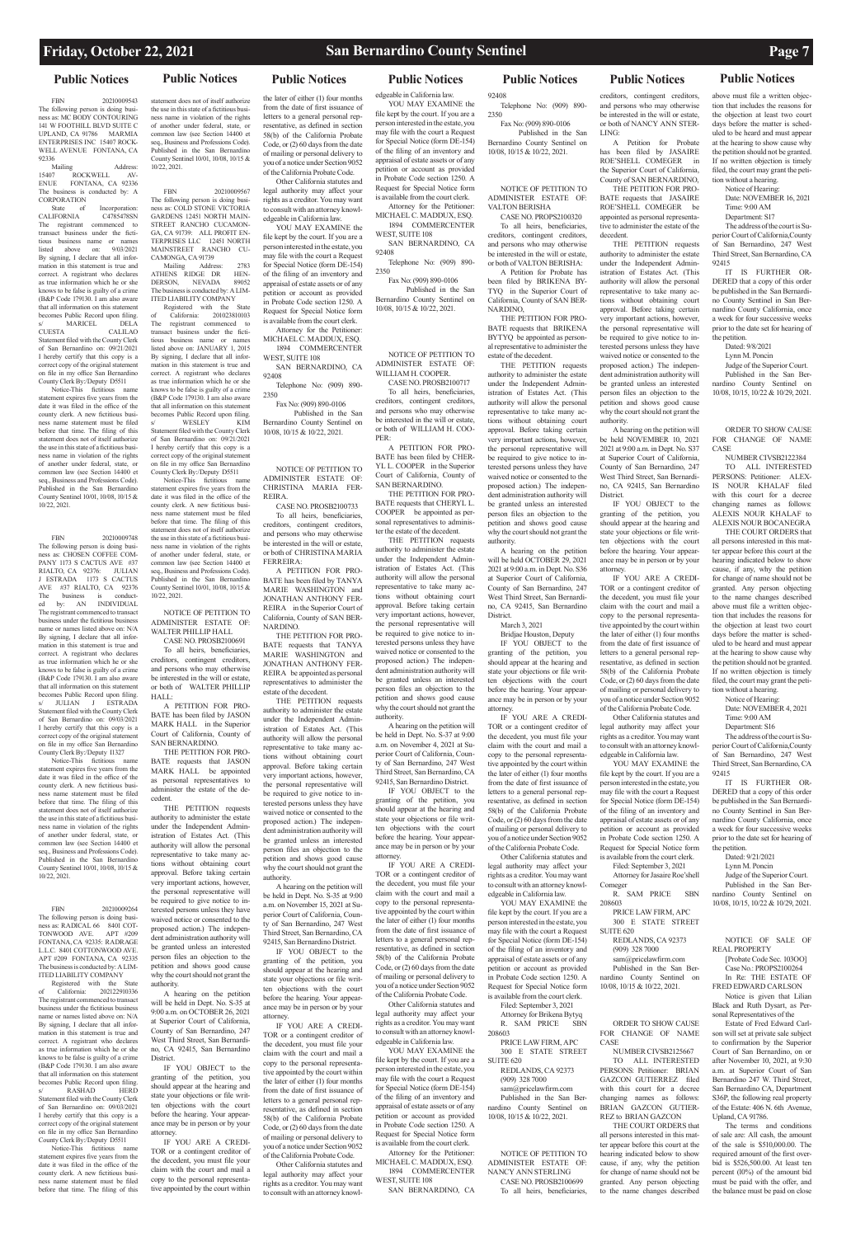## **Public Notices Public Notices Public Notices Public Notices Public Notices Public Notices Public Notices**

Mailing Address: 15407 ROCKWELL AV-<br>ENUE FONTANA, CA 92336 FONTANA, CA 92336 The business is conducted by: A **CORPORATION** 

FBN 20210009543 The following person is doing business as: MC BODY CONTOURING 141 W FOOTHILL BLVD SUITE C UPLAND, CA 91786 MARMIA ENTERPRISES INC 15407 ROCK-WELL AVENUE FONTANA, CA 92336

State of Incorporation:<br>LIFORNIA C4785478SN CALIFORNIA The registrant commenced to transact business under the fictitious business name or names listed above on: 9/03/2021 By signing, I declare that all information in this statement is true and correct. A registrant who declares as true information which he or she knows to be false is guilty of a crime (B&P Code 179130. I am also aware that all information on this statement becomes Public Record upon filing.

s/ MARICEL DELA CUESTA CALILAO Statement filed with the County Clerk of San Bernardino on: 09/21/2021 I hereby certify that this copy is a correct copy of the original statement on file in my office San Bernardino County Clerk By:/Deputy D5511

Notice-This fictitious name statement expires five years from the date it was filed in the office of the county clerk. A new fictitious business name statement must be filed before that time. The filing of this statement does not of itself authorize the use in this state of a fictitious business name in violation of the rights of another under federal, state, or common law (see Section 14400 et seq., Business and Professions Code). Published in the San Bernardino County Sentinel 10/01, 10/08, 10/15 &  $10/22.2021$ 

ness is conducted by: A LIM-ITED LIABILITY COMPANY

FBN 20210009748 The following person is doing business as: CHOSEN COFFEE COM-PANY 1173 S CACTUS AVE #37 RIALTO, CA 92376: JULIAN J ESTRADA 1173 S CACTUS AVE #37 RIALTO, CA 92376 The business is conduct-ed by: AN INDIVIDUAL The registrant commenced to transact business under the fictitious business name or names listed above on: N/A By signing, I declare that all information in this statement is true and correct. A registrant who declares as true information which he or she knows to be false is guilty of a crime (B&P Code 179130. I am also aware that all information on this statement becomes Public Record upon filing.<br>s/ JULIAN J ESTRADA s/ JULIAN J ESTRADA Statement filed with the County Clerk of San Bernardino on: 09/03/2021 I hereby certify that this copy is a correct copy of the original statement on file in my office San Bernardino County Clerk By:/Deputy I1327

Notice-This fictitious name statement expires five years from the date it was filed in the office of the county clerk. A new fictitious business name statement must be filed before that time. The filing of this statement does not of itself authorize the use in this state of a fictitious business name in violation of the rights of another under federal, state, or common law (see Section 14400 et seq., Business and Professions Code). Published in the San Bernardino County Sentinel 10/01, 10/08, 10/15 & 10/22, 2021.

FBN 20210009264 The following person is doing business as: RADICAL 66 8401 COT-<br>TONWOOD AVE. APT #209 TONWOOD AVE. FONTANA, CA 92335: RADRAGE L.L.C. 8401 COTTONWOOD AVE. APT #209 FONTANA, CA 92335

on and shows good ca why the court should not grant the authority.

Registered with the State California: 202122910336 The registrant commenced to transact business under the fictitious business name or names listed above on: N/A By signing, I declare that all information in this statement is true and correct. A registrant who declares as true information which he or she knows to be false is guilty of a crime (B&P Code 179130. I am also aware that all information on this statement becomes Public Record upon filing.<br>
S/
RASHAD
HERD s/ RASHAD HERD Statement filed with the County Clerk of San Bernardino on: 09/03/2021 I hereby certify that this copy is a correct copy of the original statement on file in my office San Bernardino County Clerk By:/Deputy D5511

Notice-This fictitious name tement expires five years from the date it was filed in the office of the county clerk. A new fictitious business name statement must be filed before that time. The filing of this statement does not of itself authorize the use in this state of a fictitious business name in violation of the rights of another under federal, state, or common law (see Section 14400 et seq., Business and Professions Code). Published in the San Bernardino County Sentinel 10/01, 10/08, 10/15 & 10/22, 2021.

FBN 20210009567 The following person is doing business as: COLD STONE VICTORIA GARDENS 12451 NORTH MAIN-STREET RANCHO CUCAMON-GA, CA 91739: ALL PROFIT EN-TERPRISES LLC 12451 NORTH MAINSTREET RANCHO CU-CAMONGA, CA 91739

Mailing Address: 2783 ATHENS RIDGE DR HEN-DERSON, NEVADA 89052 The business is conducted by: A LIM-ITED LIABILITY COMPANY Registered with the State

of California: 201023810103 The registrant commenced to transact business under the fictitious business name or names listed above on: JANUARY 1, 2015 By signing, I declare that all information in this statement is true and correct. A registrant who declares as true information which he or she knows to be false is guilty of a crime (B&P Code 179130. I am also aware that all information on this statement becomes Public Record upon filing WESLEY KIM Statement filed with the County Clerk of San Bernardino on: 09/21/2021 I hereby certify that this copy is a correct copy of the original statement on file in my office San Bernardino County Clerk By:/Deputy D5511 Notice-This fictitious name statement expires five years from the

Attorney for the Petitioner: MICHAEL C. MADDUX, ESQ. 1894 COMMERCENTER WEST, SUITE 108

date it was filed in the office of the county clerk. A new fictitious business name statement must be filed before that time. The filing of this statement does not of itself authorize the use in this state of a fictitious business name in violation of the rights of another under federal, state, or common law (see Section 14400 et seq., Business and Professions Code). Published in the San Bernardino County Sentinel 10/01, 10/08, 10/15 &

 Published in the San Bernardino County Sentinel on  $10/08$ ,  $10/15$   $\frac{10}{22}$ ,  $2021$ 

10/22, 2021. NOTICE OF PETITION TO ADMINISTER ESTATE OF: WALTER PHILLIP HALL

CASE NO. PROSB2100691 To all heirs, beneficiaries, creditors, contingent creditors, and persons who may otherwise be interested in the will or estate, or both of WALTER PHILLIP

HALL: A PETITION FOR PRO-BATE has been filed by JASON MARK HALL in the Superior Court of California, County of SAN BERNARDINO.

THE PETITION FOR PRO-BATE requests that JASON MARK HALL be appointed as personal representatives to administer the estate of the decedent.

THE PETITION requests authority to administer the estate under the Independent Administration of Estates Act. (This authority will allow the personal representative to take many actions without obtaining court approval. Before taking certain very important actions, however, the personal representative will be required to give notice to interested persons unless they have waived notice or consented to the proposed action.) The independent administration authority will be granted unless an interested person files an objection to the

A hearing on the petition will be held in Dept. No. S-35 at 9:00 a.m. on OCTOBER 26, 2021 at Superior Court of California, County of San Bernardino, 247 West Third Street, San Bernardi-

no, CA 92415, San Bernardino District. IF YOU OBJECT to the granting of the petition, you should appear at the hearing and state your objections or file written objections with the court before the hearing. Your appearance may be in person or by your attorney.

IF YOU ARE A CREDI-TOR or a contingent creditor of the decedent, you must file your claim with the court and mail a copy to the personal representative appointed by the court within

the later of either (1) four months from the date of first issuance of letters to a general personal representative, as defined in section 58(b) of the California Probate Code, or (2) 60 days from the date of mailing or personal delivery to you of a notice under Section 9052 of the California Probate Code.

Other California statutes and legal authority may affect your rights as a creditor. You may want to consult with an attorney knowledgeable in California law. YOU MAY EXAMINE the

> IF YOU ARE A CREDI-TOR or a contingent creditor of the decedent, you must file your claim with the court and mail a copy to the personal representative appointed by the court within the later of either (1) four months from the date of first issuance of letters to a general personal representative, as defined in section 58(b) of the California Probate Code, or (2) 60 days from the date of mailing or personal delivery to you of a notice under Section 9052 of the California Probate Code. Other California statutes and

legal authority may affect your rights as a creditor. You may want to consult with an attorney knowledgeable in California law. YOU MAY EXAMINE the

file kept by the court. If you are a person interested in the estate, you may file with the court a Request for Special Notice (form DE-154) of the filing of an inventory and appraisal of estate assets or of any petition or account as provided in Probate Code section 1250. A Request for Special Notice form is available from the court clerk.

Attorney for the Petitioner: MICHAEL C. MADDUX, ESQ. 1894 COMMERCENTER WEST, SUITE 108

SAN BERNARDINO, CA 92408 Telephone No: (909) 890-

2350 Fax No: (909) 890-0106 Published in the San Bernardino County Sentinel on 10/08, 10/15 & 10/22, 2021.

NOTICE OF PETITION TO ADMINISTER ESTATE OF: CHRISTINA MARIA FER-REIRA.

CASE NO. PROSB2100733 To all heirs, beneficiaries, creditors, contingent creditors, and persons who may otherwise

be interested in the will or estate, or both of CHRISTINA MARIA FERREIRA: A PETITION FOR PRO-BATE has been filed by TANYA MARIE WASHINGTON and JONATHAN ANTHONY FER-REIRA in the Superior Court of California, County of SAN BER-NARDINO.

2021 at 9:00 a.m. in Dept. No. S37 at Superior Court of California, County of San Bernardino, 247 West Third Street, San Bernardino, CA 92415, San Bernardino **District** 

THE PETITION FOR PRO-BATE requests that TANYA MARIE WASHINGTON and JONATHAN ANTHONY FER-REIRA be appointed as personal representatives to administer the estate of the decedent.

THE PETITION requests authority to administer the estate under the Independent Administration of Estates Act. (This authority will allow the personal representative to take many ac-

tions without obtaining court approval. Before taking certain very important actions, however, the personal representative will be required to give notice to interested persons unless they have waived notice or consented to the proposed action.) The independent administration authority will be granted unless an interested person files an objection to the petition and shows good cause why the court should not grant the

authority. A hearing on the petition will be held in Dept. No. S-35 at 9:00 a.m. on November 15, 2021 at Superior Court of California, County of San Bernardino, 247 West Third Street, San Bernardino, CA 92415, San Bernardino District.

IF YOU OBJECT to the granting of the petition, you

## above must file a written objection that includes the reasons for the objection at least two court days before the matter is scheduled to be heard and must appear at the hearing to show cause why the petition should not be granted. If no written objection is timely filed, the court may grant the petition without a hearing.

should appear at the hearing and to consult with an attorney knowl-

state your objections or file written objections with the court before the hearing. Your appearance may be in person or by your attorney. IF YOU ARE A CREDI-TOR or a contingent creditor of the decedent, you must file your claim with the court and mail a copy to the personal representative appointed by the court within the later of either (1) four months from the date of first issuance of letters to a general personal representative, as defined in section 58(b) of the California Probate Code, or (2) 60 days from the date of mailing or personal delivery to you of a notice under Section 9052 of the California Probate Code. Other California statutes and legal authority may affect your rights as a creditor. You may want

edgeable in California law.

YOU MAY EXAMINE the file kept by the court. If you are a person interested in the estate, you may file with the court a Request for Special Notice (form DE-154) of the filing of an inventory and appraisal of estate assets or of any petition or account as provided in Probate Code section 1250. A Request for Special Notice form is available from the court clerk.

> $Case No \cdot PROPS2100264$ In Re: THE ESTATE OF FRED EDWARD CARLSON

SAN BERNARDINO, CA 92408

Telephone No: (909) 890- 2350 Fax No: (909) 890-0106

NOTICE OF PETITION TO ADMINISTER ESTATE OF: WILLIAM H. COOPER. CASE NO. PROSB2100717

To all heirs, beneficiaries, creditors, contingent creditors, and persons who may otherwise be interested in the will or estate, or both of WILLIAM H. COO-PER:

A PETITION FOR PRO-BATE has been filed by CHER-YL L. COOPER in the Superior Court of California, County of SAN BERNARDINO.

THE PETITION FOR PRO-BATE requests that CHERYL L. COOPER be appointed as personal representatives to administer the estate of the decedent.

THE PETITION requests authority to administer the estate under the Independent Administration of Estates Act. (This authority will allow the personal representative to take many actions without obtaining court approval. Before taking certain very important actions, however, the personal representative will be required to give notice to interested persons unless they have waived notice or consented to the proposed action.) The independent administration authority will be granted unless an interested person files an objection to the petition and shows good cause why the court should not grant the authority.

A hearing on the petition will be held in Dept. No. S-37 at 9:00 a.m. on November 4, 2021 at Superior Court of California, County of San Bernardino, 247 West Third Street, San Bernardino, CA 92415, San Bernardino District.

IF YOU OBJECT to the granting of the petition, you should appear at the hearing and state your objections or file written objections with the court before the hearing. Your appearance may be in person or by your attorney.

SAN BERNARDINO, CA

92408 Telephone No: (909) 890- 2350

Fax No: (909) 890-0106 Published in the San Bernardino County Sentinel on

10/08, 10/15 & 10/22, 2021.

NOTICE OF PETITION TO ADMINISTER ESTATE OF: VALTON BERISHA CASE NO. PROPS2100320

To all heirs, beneficiaries, creditors, contingent creditors, and persons who may otherwise be interested in the will or estate, or both of VALTON BERISHA:

A Petition for Probate has been filed by BRIKENA BY-TYQ in the Superior Court of California, County of SAN BER-NARDINO,

THE PETITION FOR PRO-BATE requests that BRIKENA BYTYQ be appointed as personal representative to administer the estate of the decedent.

THE PETITION requests authority to administer the estate under the Independent Administration of Estates Act. (This authority will allow the personal representative to take many actions without obtaining court approval. Before taking certain very important actions, however, the personal representative will be required to give notice to interested persons unless they have waived notice or consented to the proposed action.) The independent administration authority will be granted unless an interested person files an objection to the petition and shows good cause why the court should not grant the authority.

IF YOU ARE A CREDI-TOR or a contingent creditor of the decedent, you must file your claim with the court and mail a copy to the personal representative appointed by the court within the later of either (1) four months from the date of first issuance of letters to a general personal representative, as defined in section 58(b) of the California Probate Code, or (2) 60 days from the date of mailing or personal delivery to you of a notice under Section 9052 of the California Probate Code. Other California statutes and legal authority may affect your rights as a creditor. You may want to consult with an attorney knowledgeable in California law. YOU MAY EXAMINE the file kept by the court. If you are a person interested in the estate, you may file with the court a Request for Special Notice (form DE-154) of the filing of an inventory and appraisal of estate assets or of any petition or account as provided in Probate Code section 1250. A Request for Special Notice form is available from the court clerk. Attorney for the Petitioner: MICHAEL C. MADDUX, ESQ. 1894 COMMERCENTER WEST, SUITE 108 208603 10/08, 10/15 & 10/22, 2021.

A hearing on the petition will be held OCTOBER 29, 2021 2021 at 9:00 a.m. in Dept. No. S36 at Superior Court of California, County of San Bernardino, 247 West Third Street, San Bernardino, CA 92415, San Bernardino District.

March 3, 2021

Bridjae Houston, Deputy IF YOU OBJECT to the

granting of the petition, you should appear at the hearing and state your objections or file written objections with the court before the hearing. Your appearance may be in person or by your attorney.

file kept by the court. If you are a person interested in the estate, you may file with the court a Request for Special Notice (form DE-154) of the filing of an inventory and appraisal of estate assets or of any

petition or account as provided in Probate Code section 1250. A Request for Special Notice form is available from the court clerk. Filed: September 3, 2021 Attorney for Brikena Bytyq R. SAM PRICE SBN

PRICE LAW FIRM, APC 300 E STATE STREET SUITE 620 REDLANDS, CA 92373 (909) 328 7000 sam@pricelawfirm.com Published in the San Bernardino County Sentinel on

NOTICE OF PETITION TO ADMINISTER ESTATE OF: NANCY ANN STERLING CASE NO. PROSB2100699 To all heirs, beneficiaries,

creditors, contingent creditors, and persons who may otherwise be interested in the will or estate, or both of NANCY ANN STER-LING: A Petition for Probate has been filed by JASAIRE

ROE'SHELL COMEGER in the Superior Court of California, County of SAN BERNARDINO, THE PETITION FOR PRO-BATE requests that JASAIRE ROE'SHELL COMEGER be appointed as personal representative to administer the estate of the decedent.

THE PETITION requests authority to administer the estate under the Independent Administration of Estates Act. (This authority will allow the personal representative to take many actions without obtaining court approval. Before taking certain very important actions, however, the personal representative will be required to give notice to interested persons unless they have waived notice or consented to the proposed action.) The independent administration authority will be granted unless an interested person files an objection to the petition and shows good cause

why the court should not grant the authority. A hearing on the petition will be held NOVEMBER 10, 2021

IF YOU OBJECT to the granting of the petition, you should appear at the hearing and state your objections or file written objections with the court before the hearing. Your appearance may be in person or by your

attorney. IF YOU ARE A CREDI-TOR or a contingent creditor of the decedent, you must file your claim with the court and mail a copy to the personal representative appointed by the court within the later of either (1) four months from the date of first issuance of letters to a general personal representative, as defined in section 58(b) of the California Probate Code, or (2) 60 days from the date of mailing or personal delivery to you of a notice under Section 9052

of the California Probate Code. Other California statutes and legal authority may affect your rights as a creditor. You may want to consult with an attorney knowl-

edgeable in California law. YOU MAY EXAMINE the file kept by the court. If you are a person interested in the estate, you may file with the court a Request for Special Notice (form DE-154) of the filing of an inventory and appraisal of estate assets or of any petition or account as provided in Probate Code section 1250. A Request for Special Notice form

is available from the court clerk. Filed: September 3, 2021 Attorney for Jasaire Roe'shell Comeger

R. SAM PRICE SBN 208603

PRICE LAW FIRM, APC 300 E STATE STREET SUITE 620 REDLANDS, CA 92373 (909) 328 7000

sam@pricelawfirm.com

Published in the San Bernardino County Sentinel on 10/08, 10/15 & 10/22, 2021.

ORDER TO SHOW CAUSE FOR CHANGE OF NAME

CASE

NUMBER CIVSB2125667 TO ALL INTERESTED PERSONS: Petitioner: BRIAN GAZCON GUTIERREZ filed with this court for a decree changing names as follows: BRIAN GAZCON GUTIER-REZ to BRIAN GAZCON THE COURT ORDERS that all persons interested in this matter appear before this court at the hearing indicated below to show cause, if any, why the petition for change of name should not be granted. Any person objecting to the name changes described Notice of Hearing: Date: NOVEMBER 16, 2021 Time: 9:00 AM

Department: S17

The address of the court is Superior Court of California,County of San Bernardino, 247 West Third Street, San Bernardino, CA 92415

IT IS FURTHER OR-DERED that a copy of this order be published in the San Bernardino County Sentinel in San Bernardino County California, once a week for four successive weeks prior to the date set for hearing of the petition.

Dated: 9/8/2021

Lynn M. Poncin

Judge of the Superior Court.

Published in the San Bernardino County Sentinel on 10/08, 10/15, 10/22 & 10/29, 2021.

## ORDER TO SHOW CAUSE FOR CHANGE OF NAME CASE

NUMBER CIVSB2122384 TO ALL INTERESTED PERSONS: Petitioner: ALEX-IS NOUR KHALAF filed with this court for a decree changing names as follows: ALEXIS NOUR KHALAF to ALEXIS NOUR BOCANEGRA

THE COURT ORDERS that all persons interested in this matter appear before this court at the hearing indicated below to show cause, if any, why the petition for change of name should not be granted. Any person objecting to the name changes described above must file a written objection that includes the reasons for the objection at least two court days before the matter is scheduled to be heard and must appear at the hearing to show cause why the petition should not be granted. If no written objection is timely filed, the court may grant the petition without a hearing.

Notice of Hearing:

Date: NOVEMBER 4, 2021 Time: 9:00 AM

Department: S16

The address of the court is Superior Court of California,County of San Bernardino, 247 West Third Street, San Bernardino, CA 92415

IT IS FURTHER OR-DERED that a copy of this order be published in the San Bernardino County Sentinel in San Bernardino County California, once a week for four successive weeks prior to the date set for hearing of the petition.

Dated: 9/21/2021

Lynn M. Poncin Judge of the Superior Court.

Published in the San Bernardino County Sentinel on 10/08, 10/15, 10/22 & 10/29, 2021.

NOTICE OF SALE OF REAL PROPERTY [Probate Code Sec. 103OO]

Notice is given that Lilian Black and Ruth Dysart, as Personal Representatives of the

Estate of Fred Edward Carlson will set at private sale subject to confirmation by the Superior Court of San Bernardino, on or after November 10, 2021, at 9:30 a.m. at Superior Court of San Bernardino 247 W. Third Street, San Bernardino CA, Department S36P, the following real property of the Estate: 406 N. 6th Avenue, Upland, CA 91786.

The terms and conditions of sale are: All cash, the amount of the sale is \$510,000.00. The required amount of the first overbid is \$526,500.00. At least ten percent (l0%) of the amount bid must be paid with the offer, and the balance must be paid on close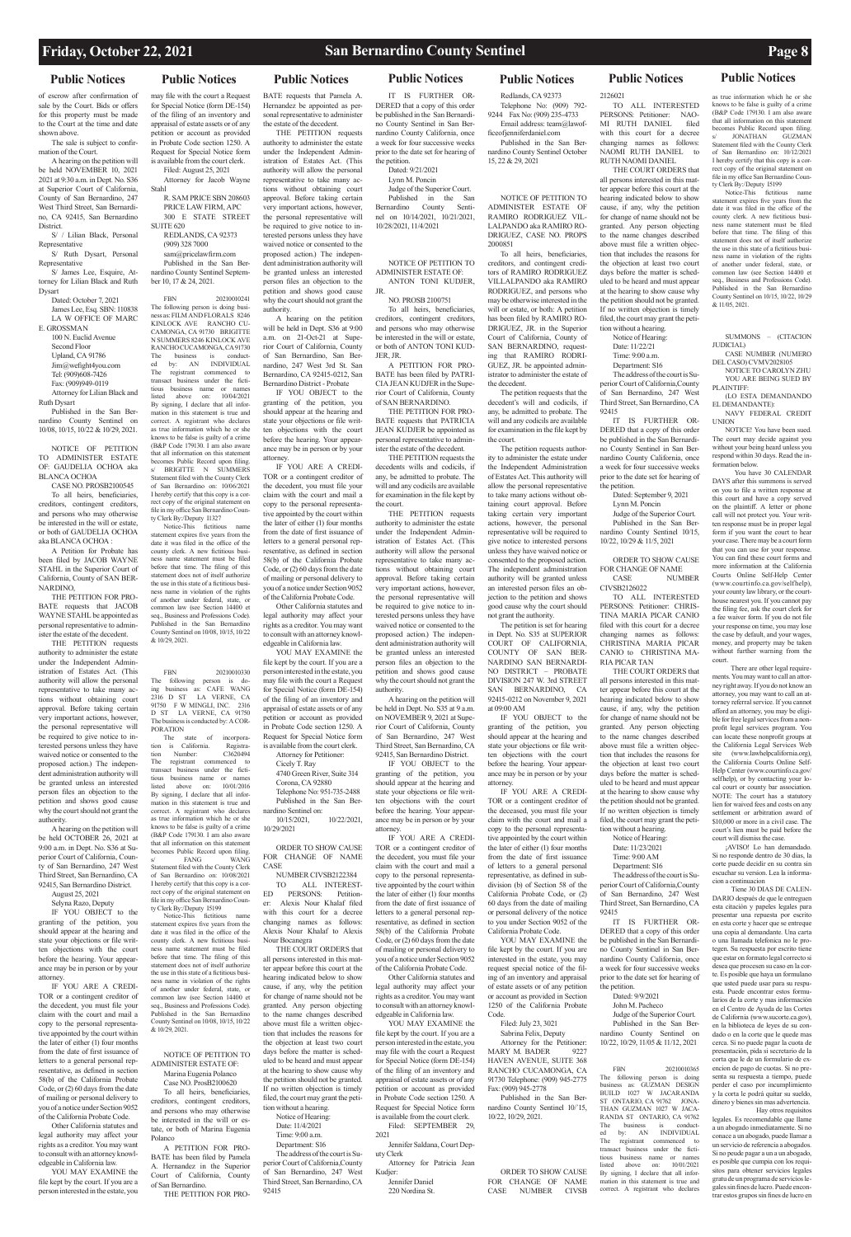## **Public Notices Public Notices Public Notices Public Notices Public Notices Public Notices Public Notices**

of escrow after confirmation of sale by the Court. Bids or offers for this property must be made to the Court at the time and date shown above.

The sale is subject to confirmation of the Court.

A hearing on the petition will be held NOVEMBER 10, 2021 2021 at 9:30 a.m. in Dept. No. S36 at Superior Court of California, County of San Bernardino, 247 West Third Street, San Bernardino, CA 92415, San Bernardino District.

S/ / Lilian Black, Personal Representative

S/ Ruth Dysart, Personal Representative

S/ James Lee, Esquire, Attorney for Lilian Black and Ruth

Dysart Dated: October 7, 2021 James Lee, Esq. SBN: 110838 LA W OFFICE OF MARC E. GROSSMAN

100 N. Euclid Avenue Second Floor Upland, CA 91786 Jim@wefight4you.com Tel: (909)608-7426 Fax: (909)949-0119

Attorney for Lilian Black and Ruth Dysart Published in the San Ber-

nardino County Sentinel on 10/08, 10/15, 10/22 & 10/29, 2021.

NOTICE OF PETITION TO ADMINISTER ESTATE OF: GAUDELIA OCHOA aka BLANCA OCHOA

CASE NO. PROSB2100545 To all heirs, beneficiaries, creditors, contingent creditors,

and persons who may otherwise be interested in the will or estate, or both of GAUDELIA OCHOA aka BLANCA OCHOA :

A Petition for Probate has been filed by JACOB WAYNE STAHL in the Superior Court of California, County of SAN BER-NARDINO,

THE PETITION FOR PRO-BATE requests that JACOB WAYNE STAHL be appointed as personal representative to administer the estate of the decedent.

R. SAM PRICE SBN 208603 PRICE LAW FIRM, APC 300 E STATE STREET SUITE 620

THE PETITION requests authority to administer the estate under the Independent Administration of Estates Act. (This authority will allow the personal representative to take many actions without obtaining court approval. Before taking certain very important actions, however, the personal representative will be required to give notice to interested persons unless they have waived notice or consented to the proposed action.) The independent administration authority will be granted unless an interested person files an objection to the petition and shows good cause why the court should not grant the authority.

A hearing on the petition will be held OCTOBER 26, 2021 at 9:00 a.m. in Dept. No. S36 at Superior Court of California, County of San Bernardino, 247 West Third Street, San Bernardino, CA 92415, San Bernardino District.

August 25, 2021 Selyna Razo, Deputy

IF YOU OBJECT to the granting of the petition, you should appear at the hearing and state your objections or file written objections with the court before the hearing. Your appear-

ance may be in person or by your attorney.

IF YOU ARE A CREDI-TOR or a contingent creditor of the decedent, you must file your claim with the court and mail a copy to the personal representative appointed by the court within the later of either (1) four months from the date of first issuance of letters to a general personal representative, as defined in section 58(b) of the California Probate Code, or (2) 60 days from the date of mailing or personal delivery to you of a notice under Section 9052 of the California Probate Code.

The state of incorporation is California. Registra-<br>tion Number: C3620494 tion Number: C3620494 The registrant commenced to transact business under the fictitious business name or names<br>listed above on:  $10/01/2016$ listed above on: 10/01/2016 By signing, I declare that all information in this statement is true and correct. A registrant who declares as true information which he or she knows to be false is guilty of a crime (B&P Code 179130. I am also aware that all information on this statement becomes Public Record upon filing.<br>
FANG WANG s/ FANG WANG Statement filed with the County Clerk of San Bernardino on: 10/08/2021 I hereby certify that this copy is a correct copy of the original statement on file in my office San Bernardino Coun-

ty Clerk By:/Deputy I5199 Notice-This fictitious name statement expires five years from the date it was filed in the office of the county clerk. A new fictitious business name statement must be filed before that time. The filing of this statement does not of itself authorize the use in this state of a fictitious business name in violation of the rights of another under federal, state, or common law (see Section 14400 et seq., Business and Professions Code). Published in the San Bernardino County Sentinel on 10/08, 10/15, 10/22  $\frac{10}{29}$  2021

Other California statutes and legal authority may affect your rights as a creditor. You may want to consult with an attorney knowledgeable in California law.

YOU MAY EXAMINE the file kept by the court. If you are a person interested in the estate, you

may file with the court a Request for Special Notice (form DE-154) of the filing of an inventory and appraisal of estate assets or of any petition or account as provided in Probate Code section 1250. A Request for Special Notice form is available from the court clerk. Filed: August 25, 2021

Attorney for Jacob Wayne Stahl

REDLANDS, CA 92373 (909) 328 7000 sam@pricelawfirm.com Published in the San Ber-

nardino County Sentinel September 10, 17 & 24, 2021.

FBN 20210010241 The following person is doing business as: FILM AND FLORALS 8246 KINLOCK AVE RANCHO CU-CAMONGA, CA 91730 BRIGITTE N SUMMERS 8246 KINLOCK AVE RANCHO CUCAMONGA, CA 91730<br>The business is conduct-The business is conduct-ed by: AN INDIVIDUAL The registrant commenced to transact business under the fictitious business name or names listed above on: 10/04/2021 By signing, I declare that all information in this statement is true and correct. A registrant who declares as true information which he or she knows to be false is guilty of a crime (B&P Code 179130. I am also aware that all information on this statement becomes Public Record upon filing. BRIGITTE N SUMMERS Statement filed with the County Clerk of San Bernardino on: 10/06/2021 I hereby certify that this copy is a correct copy of the original statement on

> of the California Probate Code. Other California statutes and legal authority may affect your rights as a creditor. You may want to consult with an attorney knowledgeable in California law

YOU MAY EXAMINE the file kept by the court. If you are a person interested in the estate, you may file with the court a Request for Special Notice (form DE-154) of the filing of an inventory and appraisal of estate assets or of any petition or account as provided in Probate Code section 1250. A Request for Special Notice form is available from the court clerk.

file in my office San Bernardino County Clerk By:/Deputy I1327 Notice-This fictitious name statement expires five years from the date it was filed in the office of the county clerk. A new fictitious busi-

ness name statement must be filed before that time. The filing of this statement does not of itself authorize the use in this state of a fictitious business name in violation of the rights of another under federal, state, or common law (see Section 14400 et seq., Business and Professions Code). Published in the San Bernardino County Sentinel on 10/08, 10/15, 10/22

IT IS FURTHER OR-DERED that a copy of this order be published in the San Bernardino County Sentinel in San Bernardino County California, once a week for four successive weeks prior to the date set for hearing of the petition. Dated: 9/21/2021

& 10/29, 2021.

FBN 20210010330 The following person is do-

ing business as: CAFE WANG 2316 D ST LA VERNE, CA<br>91750 F W MINGLI, INC. 2316 91750 F W MINGLI, INC. D ST LA VERNE, CA 91750 ess is conducted by: A COR PORATION

## NOTICE OF PETITION TO ADMINISTER ESTATE OF:

Marina Eugenia Polanco Case NO. ProsB2100620 To all heirs, beneficiaries, creditors, contingent creditors, and persons who may otherwise be interested in the will or estate, or both of Marina Eugenia Polanco

> .<br>Jennifer Daniel 220 Nordina St.

A PETITION FOR PRO-BATE has been filed by Pamela A. Hernandez in the Superior Court of California, County of San Bernardino. THE PETITION FOR PRO-

BATE requests that Pamela A. Hernandez be appointed as personal representative to administer the estate of the decedent. THE PETITION requests

authority to administer the estate under the Independent Administration of Estates Act. (This authority will allow the personal representative to take many actions without obtaining court approval. Before taking certain very important actions, however, the personal representative will be required to give notice to interested persons unless they have waived notice or consented to the proposed action.) The independent administration authority will be granted unless an interested person files an objection to the petition and shows good cause why the court should not grant the authority.

A hearing on the petition will be held in Dept. S36 at 9:00 a.m. on 21-Oct-21 at Superior Court of California, County of San Bernardino, San Bernardino, 247 West 3rd St. San Bernardino, CA 92415-0212, San Bernardino District - Probate

IF YOU OBJECT to the granting of the petition, you should appear at the hearing and state your objections or file written objections with the court before the hearing. Your appearance may be in person or by your attorney. IF YOU ARE A CREDI-

TOR or a contingent creditor of the decedent, you must file your claim with the court and mail a copy to the personal representative appointed by the court within the later of either (1) four months from the date of first issuance of letters to a general personal representative, as defined in section 58(b) of the California Probate Code, or (2) 60 days from the date of mailing or personal delivery to you of a notice under Section 9052

> Attorney for Petitioner: Cicely T. Ray 4740 Green River, Suite 314 Corona, CA 92880

Telephone No: 951-735-2488 Published in the San Bernardino Sentinel on: 10/15/2021, 10/22/2021, 10/29/2021

tion without a hearing. Notice of Hearing:

ORDER TO SHOW CAUSE FOR CHANGE OF NAME CASE

NUMBER CIVSB2122384 TO ALL INTEREST-ED PERSONS: Petitioner: Alexis Nour Khalaf filed with this court for a decree changing names as follows: Alexis Nour Khalaf to Alexis Nour Bocanegra THE COURT OR DERS that

> a week for four successive weeks prior to the date set for hearing of the petition.

all persons interested in this matter appear before this court at the

hearing indicated below to show cause, if any, why the petition for change of name should not be granted. Any person objecting to the name changes described above must file a written objection that includes the reasons for the objection at least two court days before the matter is scheduled to be heard and must appear at the hearing to show cause why the petition should not be granted. If no written objection is timely filed, the court may grant the petition without a hearing. Notice of Hearing:

Date: 11/4/2021 Time: 9:00 a.m. Department: S16 The address of the court is Superior Court of California,County of San Bernardino, 247 West Third Street, San Bernardino, CA 92415

 $int_{\text{fictitious}}$ statement expires five years from the date it was filed in the office of the county clerk. A new fictitious business name statement must be filed before that time. The filing of this statement does not of itself authorize the use in this state of a fictitious business name in violation of the rights of another under federal, state, or common law (see Section 14400 et seq., Business and Professions Code). Published in the San Bernardino County Sentinel on 10/15, 10/22, 10/29

Lynn M. Poncin

Judge of the Superior Court. Published in the San Bernardino County Sentinel on 10/14/2021, 10/21/2021, 10/28/2021, 11/4/2021

NOTICE OF PETITION TO ADMINISTER ESTATE OF: ANTON TONI KUDJER, JR.

NO. PROSB 2100751

To all heirs, beneficiaries, creditors, contingent creditors, and persons who may otherwise be interested in the will or estate, or both of ANTON TONI KUD-JER, JR.

A PETITION FOR PRO-BATE has been filed by PATRI-CIA JEAN KUDJER in the Superior Court of California, County of SAN BERNARDINO.

THE PETITION FOR PRO-BATE requests that PATRICIA JEAN KUDJER be appointed as personal representative to administer the estate of the decedent.

> There are other legal requirements. You may want to call an attorney right away. If you do not know an attorney, you may want to call an attorney referral service. If you cannot afford an attorney, you may be eligible for free legal services from a nonprofit legal services program. You can locate these nonprofit groups at the California Legal Services Web (www.lawhelpcalifornia.org), the California Courts Online Self-Help Center (www.courtinfo.ca.gov/ selfhelp), or by contacting your local court or county bar association. NOTE: The court has a statutory lien for waived fees and costs on any settlement or arbitration award of \$10,000 or more in a civil case. The court's lien must be paid before the

cion a continuacion Tiene 30 DIAS DE CALEN-DARIO después de que le entreguen esta citación y papeles legales para presentar una repuesta por escrito en esta corte y hacer que se entreque una copia al demandante. Una carta o una llamada telefonica no le protegen. Su respuesta por escrito tiene que estar on formato legal correcto si a que procesen su caso en la cor

THE PETITION requests the decedents wills and codicils, if any, be admitted to probate. The will and any codicils are available for examination in the file kept by the court.

THE PETITION requests authority to administer the estate under the Independent Administration of Estates Act. (This authority will allow the personal representative to take many actions without obtaining court approval. Before taking certain very important actions, however, the personal representative will be required to give notice to interested persons unless they have waived notice or consented to the proposed action.) The independent administration authority will be granted unless an interested person files an objection to the petition and shows good cause why the court should not grant the authority.

A hearing on the petition will be held in Dept. No. S35 at 9 a.m. on NOVEMBER 9, 2021 at Superior Court of California, County of San Bernardino, 247 West Third Street, San Bernardino, CA 92415, San Bernardino District.

IF YOU OBJECT to the granting of the petition, you should appear at the hearing and state your objections or file written objections with the court before the hearing. Your appearance may be in person or by your attorney.

IF YOU ARE A CREDI-TOR or a contingent creditor of the decedent, you must file your claim with the court and mail a copy to the personal representative appointed by the court within the later of either (1) four months from the date of first issuance of letters to a general personal representative, as defined in section 58(b) of the California Probate Code, or (2) 60 days from the date of mailing or personal delivery to you of a notice under Section 9052

of the California Probate Code.

Other California statutes and legal authority may affect your rights as a creditor. You may want to consult with an attorney knowledgeable in California law.

YOU MAY EXAMINE the file kept by the court. If you are a person interested in the estate, you may file with the court a Request for Special Notice (form DE-154) of the filing of an inventory and appraisal of estate assets or of any petition or account as provided in Probate Code section 1250. A Request for Special Notice form is available from the court clerk. Filed: SEPTEMBER 29,

2021 Jennifer Saldana, Court Dep-

uty Clerk

Attorney for Patricia Jean

Kudjer:

Redlands, CA 92373 Telephone No: (909) 792- 9244 Fax No: (909) 235-4733 Email address: team@lawof-

ficeofjenniferdaniel.com Published in the San Bernardino County Sentinel October

15, 22 & 29, 2021

NOTICE OF PETITION TO ADMINISTER ESTATE OF RAMIRO RODRIGUEZ VIL-LALPANDO aka RAMIRO RO-DRIGUEZ, CASE NO. PROPS 2000851 To all heirs, beneficiaries,

creditors, and contingent creditors of RAMIRO RODRIGUEZ VILLALPANDO aka RAMIRO RODRIGUEZ, and persons who may be otherwise interested in the will or estate, or both: A petition has been filed by RAMIRO RO-DRIGUEZ, JR. in the Superior Court of California, County of SAN BERNARDINO, requesting that RAMIRO RODRI-GUEZ, JR. be appointed administrator to administer the estate of the decedent.

The petition requests that the decedent's will and codicils, if any, be admitted to probate. The will and any codicils are available for examination in the file kept by the court.

The petition requests authority to administer the estate under the Independent Administration of Estates Act. This authority will allow the personal representative to take many actions without obtaining court approval. Before taking certain very important actions, however, the personal representative will be required to give notice to interested persons unless they have waived notice or consented to the proposed action. The independent administration authority will be granted unless an interested person files an objection to the petition and shows good cause why the court should not grant the authority.

The petition is set for hearing in Dept. No. S35 at SUPERIOR COURT OF CALIFORNIA, COUNTY OF SAN BER-NARDINO SAN BERNARDI-NO DISTRICT – PROBATE DIVISION 247 W. 3rd STREET SAN BERNARDINO, CA 92415-0212 on November 9, 2021 at 09:00 AM

IF YOU OBJECT to the granting of the petition, you should appear at the hearing and state your objections or file written objections with the court before the hearing. Your appearance may be in person or by your attorney.

IF YOU ARE A CREDI-TOR or a contingent creditor of the deceased, you must file your claim with the court and mail a copy to the personal representative appointed by the court within the later of either (1) four months from the date of first issuance of letters to a general personal representative, as defined in subdivision (b) of Section 58 of the California Probate Code, or (2) 60 days from the date of mailing or personal delivery of the notice to you under Section 9052 of the California Probate Code.

YOU MAY EXAMINE the file kept by the court. If you are interested in the estate, you may

request special notice of the filing of an inventory and appraisal of estate assets or of any petition or account as provided in Section 1250 of the California Probate Code.

## Filed: July 23, 3021 Sabrina Felix, Deputy

Attorney for the Petitioner: MARY M. BADER 9227 HAVEN AVENUE, SUITE 368 RANCHO CUCAMONGA, CA 91730 Telephone: (909) 945-2775 Fax: (909) 945-2778

Published in the San Bernardino County Sentinel 10/`15, 10/22, 10/29, 2021.

ORDER TO SHOW CAUSE FOR CHANGE OF NAME CASE NUMBER CIVSB

## 2126021 TO ALL INTERESTED PERSONS: Petitioner: NAO-MI RUTH DANIEL filed

with this court for a decree changing names as follows: NAOMI RUTH DANIEL to RUTH NAOMI DANIEL THE COURT ORDERS that all persons interested in this matter appear before this court at the hearing indicated below to show

cause, if any, why the petition for change of name should not be granted. Any person objecting to the name changes described above must file a written objection that includes the reasons for the objection at least two court days before the matter is scheduled to be heard and must appear at the hearing to show cause why the petition should not be granted. If no written objection is timely filed, the court may grant the peti-

tion without a hearing. Notice of Hearing: Date: 11/22/21 Time: 9:00 a.m.

Department: S16 The address of the court is Superior Court of California,County

of San Bernardino, 247 West Third Street, San Bernardino, CA 92415 IT IS FURTHER OR-

the petition. Dated: September 9, 2021

Lynn M. Poncin

Judge of the Superior Court. Published in the San Bernardino County Sentinel 10/15, 10/22, 10/29 & 11/5, 2021

ORDER TO SHOW CAUSE FOR CHANGE OF NAME CASE NUMBER

CIVSB2126022 TO ALL INTERESTED PERSONS: Petitioner: CHRIS-TINA MARIA PICAR CANIO filed with this court for a decree changing names as follows: CHRISTINA MARIA PICAR CANIO to CHRISTINA MA-

RIA PICAR TAN THE COURT ORDERS that all persons interested in this matter appear before this court at the hearing indicated below to show cause, if any, why the petition for change of name should not be granted. Any person objecting to the name changes described above must file a written objection that includes the reasons for the objection at least two court days before the matter is scheduled to be heard and must appear at the hearing to show cause why the petition should not be granted. If no written objection is timely filed, the court may grant the peti-

> Date: 11/23/2021 Time: 9:00 AM Department: S16

The address of the court is Superior Court of California,County of San Bernardino, 247 West Third Street, San Bernardino, CA 92415

IT IS FURTHER OR-DERED that a copy of this order be published in the San Bernardino County Sentinel in San Bernardino County California, once

## Dated: 9/9/2021 John M. Pacheco

Judge of the Superior Court. Published in the San Bernardino County Sentinel on 10/22, 10/29, 11/05 & 11/12, 2021

DERED that a copy of this order be published in the San Bernardino County Sentinel in San Bernardino County California, once a week for four successive weeks prior to the date set for hearing of UNION The court may decide against you without your being heard unless you respond within 30 days. Read the information below. DAYS after this summons is served

FBN 20210010365 The following person is doing business as: GUZMAN DESIGN BUILD 1027 W JACARANDA

ST ONTARIO, CA 91762 JONA-THAN GUZMAN 1027 W JACA-RANDA ST ONTARIO, CA 91762 The business is conduct-ed by: AN INDIVIDUAL The registrant commenced to transact business under the fictitious business name or names listed above on: 10/01/2021 By signing, I declare that all information in this statement is true and correct. A registrant who declares

as true information which he or she knows to be false is guilty of a crime (B&P Code 179130. I am also aware that all information on this statement becomes Public Record upon filing. s/ JONATHAN GUZMAN Statement filed with the County Clerk of San Bernardino on: 10/12/2021 I hereby certify that this copy is a correct copy of the original statement on file in my office San Bernardino County Clerk By:/Deputy I5199

SUMMONS – (CITACION

JUDICIAL)

CASE NUMBER (NUMERO DEL CASO) CVMV2028105 NOTICE TO CAROLYN ZHU YOU ARE BEING SUED BY

PLAINTIFF:

(LO ESTA DEMANDANDO

EL DEMANDANTE):

NAVY FEDERAL CREDIT

NOTICE! You have been sued.

You have 30 CALENDAR

on you to file a written response at this court and have a copy served on the plaintiff. A letter or phone call will not protect you. Your written response must be in proper legal form if you want the court to hear your case. There may be a court form that you can use for your response. You can find these court forms and more information at the California Courts Online Self-Help Center (www.courtinfo.ca.gov/selfhelp), your county law library, or the courthouse nearest you. If you cannot pay the filing fee, ask the court clerk for a fee waiver form. If you do not file your response on time, you may lose the case by default, and your wages, money, and property may be taken without further warning from the

 $& 11/05, 2021$ 

court.

court will dismiss the case. ¡AVISO! Lo han dema Si no responde dentro de 30 dias, la corte puede decidir en su contra sin escuchar su version. Lea la informa-

> te. Es posible que haya un formulano que usted puede usar para su respuesta. Puede encontrar estos formularios de la corte y mas información en el Centro de Ayuda de las Cortes de California (www.sucorte.ca.gov), en la biblioteca de leyes de su condado o en la corte que le quede mas cerca. Si no puede pagar la cuota de presentación, pida si secretario de la corta que le de un formulario de exencion de pago de cuotas. Si no presenta su respuesta a tiempo, puede perder el caso por incumplimiento y la corta le podrá quitar su sueldo, dinero y bienes sin mas advertencia. Hay otros requisitos

legales. Es recomendable que llame a un abogado inmediatamente. Si no conace a un abogado, puede llamar a un servicio de referencia a abogados. Si no peude pagar a un a un abogado, es posible que cumpia con los requisitos para obtener servicios legales gratu de un programa de servicios legales sin fines de lucro. Puede encontrar estos grupos sin fines de lucro en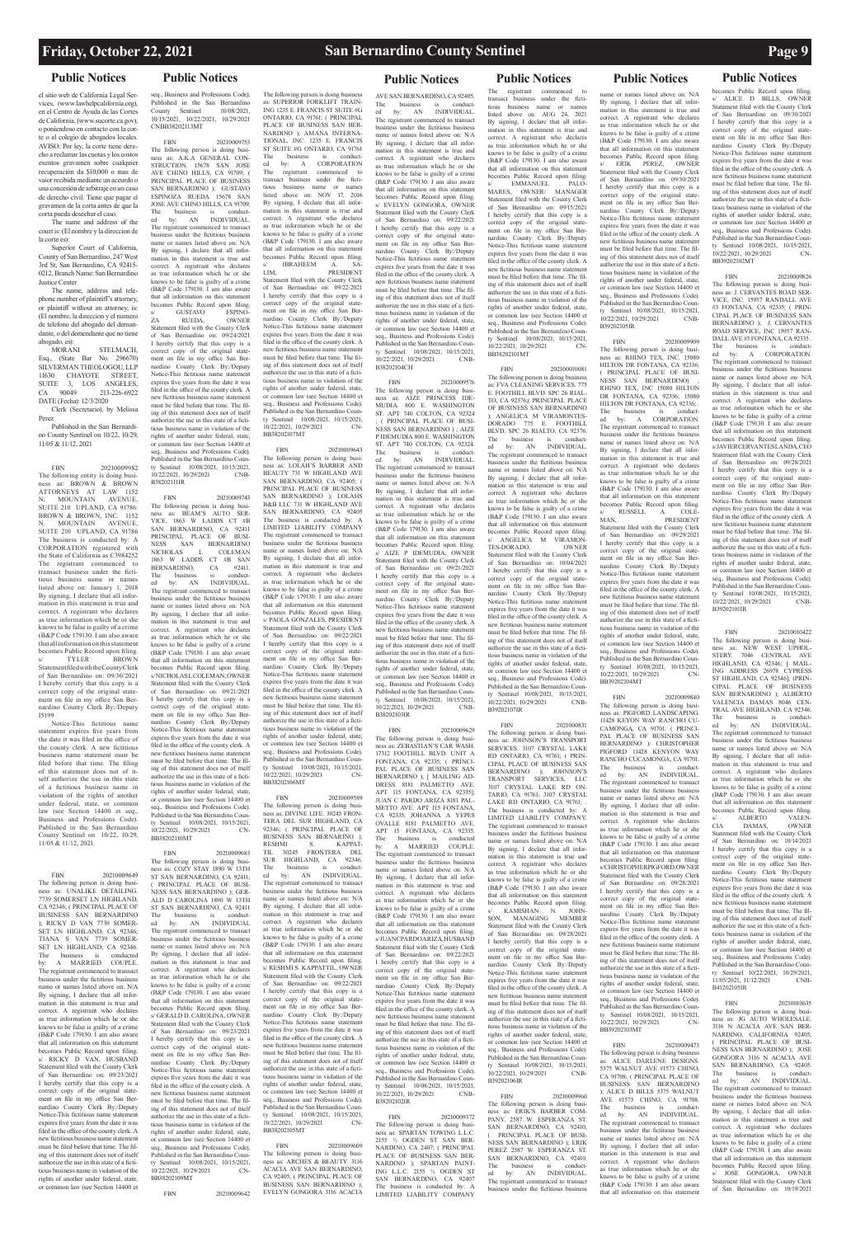el sitio web de California Legal Services, (www.lawhelpcalifornia.org), en el Centro de Ayuda de las Cortes de California, (www.sucorte.ca.gov), o poniendoso en contacto con la corte o el colegio de abogados locales. AVISO: Por ley, la corte tiene derecho a reclamar las cuotas y los costos exentos gravamen sobre cualquier recuperación da \$10,000 o mas de vaior recibida mediante un aceurdo o una concesión de arbitraje en un caso de derecho civil. Tiene que pagar el gravamen de la corta antes de que la corta pueda desechar el caso.

STELMACH Esq., (State Bar No. 296670) SILVERMAN THEOLOGOU, LLP 11630 CHAYOTE STREET, SUITE 3, LOS ANGELES, CA 90049 213-226-6922 DATE (Fecha): 12/3/2020 Clerk (Secretario), by Melissa

The name and address of the court is: (El nombre y la direccion de la corte es):

Superior Court of California, County of San Bernardino, 247 West 3rd St, San Bernardino, CA 92415- 0212, Branch Name: San Bernardino Justice Center

The name, address and telephone number of plaintiff's attorney, or plaintiff without an attorney, is: (El nombre, la direccion y el numero de telefono del abogado del demandante, o del demendante que no tiene abogado, es):

Perez Published in the San Bernardi-

no County Sentinel on 10/22, 10/29, 11/05 & 11/12, 2021

FBN 20210009982 The following entity is doing business as: BROWN & BROWN ATTORNEYS AT LAW 1152 N. MOUNTAIN AVENUE, SUITE 210 UPLAND, CA 91786: BROWN & BROWN, INC. 1152 N. MOUNTAIN AVENUE, SUITE 210 UPLAND, CA 91786 The business is conducted by: A CORPORATION registered the State of California as C3984252 The registrant commenced to transact business under the fictitious business name or names listed above on: January 1, 2018 By signing, I declare that all information in this statement is true and correct. A registrant who declares as true information which he or she knows to be false is guilty of a crime (B&P Code 179130. I am also aware that all information on this statement becomes Public Record upon filing.<br>s/ TYLER BROWN s/ TYLER BROWN<br>Statementfiled with the County Clerk of San Bernardino on: 09/30/2021 I hereby certify that this copy is a correct copy of the original statement on file in my office San Bernardino County Clerk By:/Deputy I5199

Notice-This fictitious name statement expires five years from the date it was filed in the office of the county clerk. A new fictitious business name statement must be filed before that time. The filing of this statement does not of itself authorize the use in this state of a fictitious business name in violation of the rights of another under federal, state, or common law (see Section 14400 et seq. Business and Professions Code). Published in the San Bernardino County Sentinel on 10/22, 10/29, 11/05 & 11/12, 2021.

B38202111IR FBN 20210009743 The following person is doing busi-ness as: BEAM'S AUTO SER-VICE. 1863 W LADDS CT #B SAN BERNARDINO, CA 92411 PRINCIPAL PLACE OF BUSI-NESS SAN BERNARDINO NICHOLAS L COLEMAN 1863 W LADDS CT #B SAN BERNARDINO, CA 92411.<br>The business is conduct-The business is conduct-ed by: AN INDIVIDUAL. The registrant commenced to transact business under the fictitious business name or names listed above on: N/A By signing, I declare that all information in this statement is true and correct. A registrant who declares as true information which he or she knows to be false is guilty of a crime (B&P Code 179130. I am also aware that all information on this statement becomes Public Record upon filing. s/ NICHOLAS L COLEMAN, OWNER Statement filed with the County Clerk of San Bernardino on: 09/21/2021 I hereby certify that this copy is a correct copy of the original statement on file in my office San Ber-nardino County Clerk By:/Deputy Notice-This fictitious name statement expires five years from the date it was filed in the office of the county clerk. A new fictitious business name statement must be filed before that time. The filing of this statement does not of itself authorize the use in this state of a fictitious business name in violation of the rights of another under federal, state, or common law (see Section 14400 et seq., Business and Professions Code). Published in the San Bernardin ty Sentinel 10/08/2021, 10/15/2021,<br>10/22/2021, 10/29/2021 CN- $10/22/2021$ ,  $10/29/2021$ 

FBN 20210009649 The following person is doing business as: UNALIKE DETAILING. 7739 SOMERSET LN HIGHLAND, CA 92346; ( PRINCIPAL PLACE OF BUSINESS SAN BERNARDINO ); RICKY D VAN 7739 SOMER-SET LN HIGHLAND, CA 92346; TIANA S VAN 7739 SOMER-SET LN HIGHLAND, CA 92346. The business is conducted by: A MARRIED COUPLE. The registrant commenced to transact business under the fictitious business name or names listed above on: N/A By signing, I declare that all information in this statement is true and correct. A registrant who declares as true information which he or she knows to be false is guilty of a crime (B&P Code 179130. I am also aware that all information on this statement becomes Public Record upon filing. s/ RICKY D VAN, HUSBAND Statement filed with the County Clerk of San Bernardino on:  $0.973/2021$ I hereby certify that this copy is a correct copy of the original statement on file in my office San Bernardino County Clerk By:/Deputy Notice-This fictitious name statement expires five years from the date it was filed in the office of the county clerk. A new fictitious business name statement must be filed before that time. The filing of this statement does not of itself authorize the use in this state of a fictitious business name in violation of the rights of another under federal, state, or common law (see Section 14400 et

FBN 20210009683 The following person is doing business as: COZY STAY 1890 W 13TH ST SAN BERNARDINO, CA 92411; PRINCIPAL PLACE OF BUSI-NESS SAN BERNARDINO ); GER-ALD D CAROLINA 1890 W 13TH ST SAN BERNARDINO, CA 92411 The business is conduct-ed by: AN INDIVIDUAL The registrant commenced to transact business under the fictitious business name or names listed above on: N/A By signing, I declare that all information in this statement is true and A registrant who decla as true information which he or she knows to be false is guilty of a crime (B&P Code 179130. I am also aware that all information on this statement Public Record upon filing s/ GERALD D. CAROLINA, OWNER Statement filed with the County Clerk of San Bernardino on: 09/23/2021 I hereby certify that this copy is a correct copy of the original state-ment on file in my office San Bernardino County Clerk By:/Deputy Notice-This fictitious name statement expires five years from the date it was filed in the office of the county clerk. A new fictitious business name statement must be filed before that time. The filing of this statement does not of itself authorize the use in this state of a fictitious business name in violation of the rights of another under federal, state, or common law (see Section 14400 et seq., Business and Professions Code). Published in the San Bernardino Coun-Sentinel 10/08/2021, 10/15/2021, 10/22/2021, 10/29/2021 CN-BB38202109MT

## **Public Notices Public Notices Public Notices Public Notices Public Notices Public Notices**

seq., Business and Professions Code). Published in the San Bernardino County Sentinel 10/08/2021, 10/15/2021, 10/22/2021, 10/29/2021 CNBB38202113MT

FBN 20210009753 The following person is doing busi-ness as: A.K.A GENERAL CON-STRUCTION. 15678 SAN JOSE AVE CHINO HILLS, CA 91709; ( PRINCIPAL PLACE OF BUSINESS SAN BERNARDINO ); GUSTAVO ESPINOZA RUEDA 15678 SAN JOSE AVE CHINO HILLS, CA 91709.<br>The business is conduct-The business is conduct-ed by: AN INDIVIDUAL. The registrant commenced to transact business under the fictitious business name or names listed above on: N/A By signing, I declare that all information in this statement is true and correct. A registrant who declares as true information which he or she knows to be false is guilty of a crime (B&P Code 179130. I am also aware that all information on this statement becomes Public Record upon filing<br>s/ GUSTAVO ESPINO GUSTAVO ZA RUEDA, OWNER Statement filed with the County Clerk of San Bernardino on: 09/24/2021 I hereby certify that this copy is a correct copy of the original state-ment on file in my office San Bernardino County Clerk By:/Deputy Notice-This fictitious name statement expires five years from the date it was filed in the office of the county clerk. A new fictitious business name statement must be filed before that time. The filing of this statement does not of itself authorize the use in this state of a fictitious business name in violation of the rights of another under federal, state, or common law (see Section 14400 et seq., Business and Professions Code). Published in the San Bernardino County Sentinel 10/08/2021, 10/15/2021, 10/22/2021, 10/29/2021 CNB-

BB38202110MT

FBN 20210009642

The following person is doing business as: SUPERIOR FORKLIFT TRAIN-ING 1235 E. FRANCIS ST SUITE #G ONTARIO, CA 91761; ( PRINCIPAL PLACE OF BUSINESS SAN BER-NARDINO ); AMANA INTERNA-TIONAL, INC. 1235 E. FRANCIS ST SUITE #G ONTARIO, CA 91761 The business is conduct-ed by: A CORPORATION The registrant commenced to transact business under the fictitious business name or names listed above on: NOV 17, 2016 By signing, I declare that all information in this statement is true and correct. A registrant who declares as true information which he or she knows to be false is guilty of a crime (B&P Code 179130. I am also aware that all information on this statement becomes Public Record upon filing. s/ IBRAHEEM A. SA-LIM, PRESIDENT Statement filed with the County Clerk of San Bernardino on: 09/22/2021 I hereby certify that this copy is a correct copy of the original state-ment on file in my office San Bernardino County Clerk By:/Deputy Notice-This fictitious name statement expires five years from the date it was filed in the office of the county clerk. A new fictitious business name statement must be filed before that time. The filing of this statement does not of itself authorize the use in this state of a fictitious business name in violation of the rights of another under federal, state, or common law (see Section 14400 et seq., Business and Professions Code). Published in the San Bernardino County Sentinel 10/08/2021, 10/15/2021, 10/22/2021, 10/29/2021 CN- The registrant commenced to<br>transact business under the fictibusiness under the fictitious business name or names listed above on: AUG 24, 2021 By signing, I declare that all information in this statement is true and correct. A registrant who declares as true information which he or she knows to be false is guilty of a crime (B&P Code 179130. I am also aware that all information on this statement becomes Public Record upon filing.<br>
s/ EMMANUEL PALOs/ EMMANUEL PALO-MARES, OWNER/ MANAGER Statement filed with the County Clerk of San Bernardino on: 09/15/2021 I hereby certify that this copy is a correct copy of the original statement on file in my office San Bernardino County Clerk By:/Deputy Notice-This fictitious name statement expires five years from the date it was filed in the office of the county clerk. A new fictitious business name statement must be filed before that time. The filing of this statement does not of itself authorize the use in this state of a ficti-tious business name in violation of the rights of another under federal, state or common law (see Section 14400 et seq., Business and Professions Code). Published in the San Bernardino County Sentinel 10/08/2021, 10/15/2021, 10/22/2021, 10/29/2021 CN-BB38202101MT

BB38202107MT

FBN 20210009643 The following person is doing business as: LOLAH'S BARBER AND BEAUTY 731 W HIGHLAND AVE SAN BERNARDINO, CA 92405; ( PRINCIPAL PLACE OF BUSINESS BERNARDINO ); LOLAHS B&B LLC 731 W HIGHLAND AVE SAN BERNARDINO, CA 92405 The business is conducted by: A LIMITED LIABILITY COMPANY The registrant commenced to transact business under the fictitious business name or names listed above on: N/A By signing, I declare that all information in this statement is true and correct. A registrant who declares as true information which he or she knows to be false is guilty of a crime (B&P Code 179130. I am also aware that all information on this statement becomes Public Record upon filing. s/ PAOLA GONZALES, PRESIDENT Statement filed with the County Clerk of San Bernardino on: 09/22/2021 I hereby certify that this copy is a correct copy of the original state-ment on file in my office San Bernardino County Clerk By:/Deputy Notice-This fictitious name statement expires five years from the date it was filed in the office of the county clerk. A new fictitious business name statement must be filed before that time. The filing of this statement does not of itself authorize the use in this state of a fictitious business name in violation of the rights of another under federal, state, or common law (see Section 14400 et seq., Business and Professions Code). Published in the San Bernardino County Sentinel 10/08/2021, 10/15/2021, 10/22/2021, 10/29/2021 CN-

name or names listed above on: N/A By signing, I declare that all infor-mation in this statement is true and correct. A registrant who declares as true information which he or she knows to be false is guilty of a crime (B&P Code 179130. I am also aware that all information on this statement becomes Public Record upon filing. s/ ERIK PEREZ, OWNER Statement filed with the County Clerk of San Bernardino on: 09/30/2021 I hereby certify that this copy is a correct copy of the original statement on file in my office San Ber-nardino County Clerk By:/Deputy Notice-This fictitious name statement expires five years from the date it was filed in the office of the county clerk. A new fictitious business name statement must be filed before that time. The filing of this statement does not of itself authorize the use in this state of a fiction tious business name in violation of the rights of another under federal, or common law (see Section 14400 et seq., Business and Professions Code). Published in the San Bernardino County Sentinel 10/08/2021, 10/15/2021,<br>10/22/2021, 10/29/2021 CNB-10/22/2021, 10/29/2021

BB38202106MT

FBN 20210009589 The following person is doing business as: DIVINE LIFE. 30245 FRON-TERA DEL SUR HIGHLAND, CA 92346; ( PRINCIPAL PLACE OF BUSINESS SAN BERNARINO ); RESHMI S. KAPPAT-TIL 30245 FRONTERA DEL SUR HIGHLAND, CA 92346. The business is conduct-ed by: AN INDIVIDUAL. The registrant commenced to transact business under the fictitious business name or names listed above on: N/A By signing, I declare that all information in this statement is true and correct. A registrant who declares as true information which he or she knows to be false is guilty of a crime (B&P Code 179130. I am also aware that all information on this statement becomes Public Record upon filing.

The following person is doing business as: RHINO TEX, INC. 15080 ness as:  $R$ HINO TEX, INC. HILTON DR FONTANA, CA 92336; ( PRINCIPAL PLACE OF BUSI-NESS SAN BERNARDINO) ; RHINO TEX, INC 15080 HILTON DR FONTANA, CA 92336; 15080 HILTON DR FONTANA, CA 92336; . The business is conduct-ed by: A CORPORATION. The registrant commenced to transact business under the fictitious business name or names listed above on: N/A By signing, I declare that all infor-mation in this statement is true and correct. A registrant who declares as true information which he or she knows to be false is guilty of a crime (B&P Code 179130. I am also aware that all information on this statement becomes Public Record upon filing. s/ RUSSELL A. COLE-MAN, PRESIDENT Statement filed with the County Clerk San Bernardino on: 09/29/2021 I hereby certify that this copy is a correct copy of the original state-ment on file in my office San Bernardino County Clerk By:/Deputy Notice-This fictitious name statement expires five years from the date it was filed in the office of the county clerk. A new fictitious business name statement must be filed before that time. The filing of this statement does not of itsel authorize the use in this state of a fictitious business name in violation of the rights of another under federal, state, or common law (see Section 14400 et seq., Business and Professions Code). Published in the San Bernardino County Sentinel 10/08/2021, 10/15/2021, 10/22/2021, 10/29/2021 CN-BB39202104MT

s/ RESHMI S. KAPPATTIL, OWNER Statement filed with the County Clerk of San Bernardino on: 09/22/2021 I hereby certify that this copy is a correct copy of the original ment on file in my office San Bernardino County Clerk By:/Deputy Notice-This fictitious name statement expires five years from the date it was filed in the office of the county clerk. A new fictitious business name statement must be filed before that time. The filing of this statement does not of itself authorize the use in this state of a fictitious business name in violation of the rights of another under federal, state, or common law (see Section 14400 et seq., Business and Professions Code). Published in the San Bernardino Coun-<br>ty Sentinel 10/08/2021, 10/15/2021 ty Sentinel 10/08/2021, 10/15/2021, 10/22/2021, 10/29/2021 CN-BB38202105MT FBN 20210009609 The following person is doing busi-

ness as: ARCHES & BEAUTY. 3116 ACACIA AVE SAN BERNARDINO, CA 92405; ( PRINCIPAL PLACE OF BUSINESS SAN BERNARDINO ); EVELYN GONGORA 3116 ACACIA

AVE SAN BERNARDINO, CA 92405. The business is conduct-ed by: AN INDIVIDUAL. The registrant commenced to transact business under the fictitious business name or names listed above on: N/A By signing, I declare that all information in this statement is true and correct. A registrant who declares as true information which he or she knows to be false is guilty of a crime (B&P Code 179130. I am also aware that all information on this statement becomes Public Record upon filing. s/ EVELYN GONGORA, OWNER Statement filed with the County Clerk of San Bernardino on: 09/22/2021 I hereby certify that this copy is a correct copy of the original state-ment on file in my office San Bernardino County Clerk By:/Deputy Notice-This fictitious name statement expires five years from the date it was filed in the office of the county clerk. A new fictitious business name statement must be filed before that time. The filing of this statement does not of itself authorize the use in this state of a fictitious business name in violation of the rights of another under federal, state, or common law (see Section 14400 et seq., Business and Professions Code). Published in the San Bernardino County Sentinel 10/08/2021, 10/15/2021, 10/22/2021, 10/29/2021 CNB-B38202104CH

FBN 20210009576 The following person is doing busi-ness as: AIZE PRINCESS IDE-MUDIA. 800 E. WASHINGTON ST. APT 740 COLTON, CA 92324 ; ( PRINCIPAL PLACE OF BUSI-NESS SAN BERNARDINO ) ; AIZE P IDEMUDIA 800 E. WASHINGTON ST. APT 740 COLTON, CA 92324. The business is conduct-ed by: AN INDIVIDUAL. The registrant commenced to transact business under the fictitious business name or names listed above on: N/A By signing, I declare that all information in this statement is true and correct. A registrant who declares as true information which he or she knows to be false is guilty of a crime (B&P Code 179130. I am also aware that all information on this statement becomes Public Record upon filing. s/ AIZE P IDEMUDIA, OWNER Statement filed with the County Clerk of San Bernardino on: 09/21/2021 I hereby certify that this copy is a correct copy of the original state-ment on file in my office San Bernardino County Clerk By:/Deputy Notice-This fictitious name statement expires five years from the date it was filed in the office of the county clerk. A new fictitious business name statement must be filed before that time. The filing of this statement does not of itself authorize the use in this state of a fictitious business name in violation of the rights of another under federal, state, or common law (see Section 14400 et seq., Business and Professions Code). Published in the San Bernardino County Sentinel 10/08/2021, 10/15/2021, 10/22/2021, 10/29/2021 CNB-B38202103IR

> Sentinel 10/22/2021, 10/29/2021, 11/05/2021, 11/12/2021 CNB-

FBN 20210009629 The following person is doing busi-ness as: ZEBASTIAN'S CAR WASH. 17312 FOOTHILL BLVD. UNIT FONTANA, CA 92335; ( PRINCI-PAL PLACE OF BUSINESS SAN BERNARDINO ); [ MAILING AD-DRESS 8181 PALMETTO AVE. APT 115 FONTANA, CA 92335]; JUAN C PARDO ARIZA 8181 PAL-METTO AVE. APT 115 FONTANA, CA 92335; JOHANNA A YEPES OVALLE 8181 PALMETTO AVE. APT 15 FONTANA, CA 92335. The business is conducted by: A MARRIED COUPLE. The registrant commenced to transact business under the fictitious business name or names listed above on: N/A By signing, I declare that all information in this statement is true and correct. A registrant who declares as true information which he or she knows to be false is guilty of a crime (B&P Code 179130. I am also aware that all information on this statement becomes Public Record upon filing.  $s/II$ IANCPARDO ARIZA HUSBAND Statement filed with the County Clerk of San Bernardino on: 09/22/2021 I hereby certify that this copy is a correct copy of the original state-ment on file in my office San Bernardino County Clerk By:/Deputy Notice-This fictitious name statement expires five years from the date it was filed in the office of the county clerk. A new fictitious business name statement must be filed before that time. The filing of this statement does not of itself authorize the use in this state of a fictitious business name in violation of the rights of another under federal, state, or common law (see Section 14400 et seq., Business and Professions Code). Published in the San Bernardino County Sentinel 10/08/2021, 10/15/2021, 10/22/2021, 10/29/2021 CNB-B38202102IR

FBN 20210009372 The following person is doing busi-ness as: SPARTAN TOWING L.L.C. 2155 ½ OGDEN ST SAN BER-NARDINO, CA 2407; ( PRINCIPAL PLACE OF BUSINESS SAN BER-NARDINO ); SPARTAN PAINT-ING L.L.C. 2155 ½ OGDEN ST SAN BERNARDINO, CA 92407 The business is conducted by: A LIMITED LIABILITY COMPANY

FBN 202100010081 The following person is doing business as: FVA CLEANING SERVICES. 775 E. FOOTHILL BLVD. SPC 26 RIAL-TO, CA 92376;( PRINCIPAL PLACE OF BUSINESS SAN BERNARDINO ); ANGELICA M VIRAMONTES-DORADO 775 E. FOOTHILL BLVD. SPC 26 RIALTO, CA 92376. The business is conduct-ed by: AN INDIVIDUAL. The registrant commenced to transact business under the fictitious business name or names listed above on: N/A By signing, I declare that all information in this statement is true and correct. A registrant who declares as true information which he or she knows to be false is guilty of a crime (B&P Code 179130. I am also aware that all information on this statement becomes Public Record upon filing. s/ ANGELICA M VIRAMON-TES-DORADO, OWNER Statement filed with the County Clerk of San Bernardino on: 10/04/2021 I hereby certify that this copy is a correct copy of the original statement on file in my office San Ber-nardino County Clerk By:/Deputy Notice-This fictitious name statement expires five years from the date it was filed in the office of the county clerk. A new fictitious business name statement must be filed before that time. The filing of this statement does not of itself authorize the use in this state of a fictitious business name in violation of the rights of another under federal, state, or common law (see Section 14400 et seq., Business and Professions Code). Published in the San Bernardino County Sentinel 10/08/2021, 10/15/2021,  $10/22/2021$ , 10/29/2021 B39202107IR

FBN 2021000831 The following person is doing business as: JOHNSON'S TRANSPORT SERVICES. 3107 CRYSTAL LAKE RD ONTARIO, CA 91761; ( PRIN-CIPAL PLACE OF BUSINESS SAN BERNARDINO ); JOHNSON'S TRANSPORT SERVICES, LLC 3107 CRYSTAL LAKE RD ON-TARIO, CA 91761; 3107 CRYSTAL LAKE RD ONTARIO, CA 91761; . The business is conducted by: A LIMITED LIABILITY COMPANY. The registrant commenced to transact business under the fictitious business name or names listed above on: N/A By signing, I declare that all information in this statement is true and correct. A registrant who declares as true information which he or she knows to be false is guilty of a crime (B&P Code 179130. I am also aware that all information on this statement becomes Public Record upon filing. s/ KAMISHAN N. JOHN-SON, MANAGING MEMBER Statement filed with the County Clerk of San Bernardino on: 09/28/2021 I hereby certify that this copy is a correct copy of the original state-ment on file in my office San Ber-

nardino County Clerk By:/Deputy Notice-This fictitious name statement expires five years from the date it was filed in the office of the county clerk. A new fictitious business name statement must be filed before that time. The filing of this statement does not of itself authorize the use in this state of a fictitious business name in violation of the rights of another under federal, state, or common law (see Section 14400 et seq., Business and Professions Code). Published in the San Bernardino County Sentinel 10/08/2021, 10/15/2021, 10/22/2021, 10/29/2021 CNB-B39202106IR

B39202105IR

## FBN 20210009909

FBN 20210009960 The following person is doing busi-ness as: ERIK'S BARBER COM-PANY. 2587 W. ESPERANZA ST. SAN BERNARDINO, CA 92410; ( PRINCIPAL PLACE OF BUSI-NESS SAN BERNARDINO ); ERIK PEREZ 2587 W. ESPERANZA ST. SAN BERNARDINO, CA 92410. The business is conduct-ed by: AN INDIVIDUAL. The registrant commenced to transact business under the fictitious business CA 91708; ( PRINCIPAL PLACE OF BUSINESS SAN BERNARDINO ); ALICE D BILLS 5375 WALNUT AVE #1573 CHINO, CA 91708.<br>The business is conduct-The business is conduct-ed by: AN INDIVIDUAL. The registrant commenced to transact business under the fictitious business name or names listed above on: N/A By signing, I declare that all information in this statement is true and correct. A registrant who declares as true information which he or she knows to be false is guilty of a crime  $(RkP$  Code 170130. I am also aware that all information on this statement

## FBN 20210009840 The following person is doing busi-ness as: PIGFORD LANDSCAPING. 11428 KEYON WAY RANCHO CU-CAMONGA, CA 91701: ( PRINCI-PAL PLACE OF BUSINESS SAN BERNARDINO ): CHRISTOPHER PIGFORD 11428 KENYON WAY RANCHO CUCAMONGA, CA 91701.<br>The business is conduct-The business is conduct-ed by: AN INDIVIDUAL.

The registrant commenced to transact business under the fictitious business name or names listed above on: N/A By signing, I declare that all information in this statement is true and correct. A registrant who declares as true information which he or she knows to be false is guilty of a crime (B&P Code 179130. I am also aware that all information on this statement becomes Public Record upon filing. s/CHRISTOPHERPIGFORD, OWNER Statement filed with the County Clerk of San Bernardino on: 09/28/2021 I hereby certify that this copy is a correct copy of the original state-ment on file in my office San Bernardino County Clerk By:/Deputy Notice-This fictitious name statement expires five years from the date it was filed in the office of the county clerk. A new fictitious business name statement must be filed before that time. The fil-

ing of this statement does not of itself

BB39202103MT

FBN 20210009473 The following person is doing business as: ALICE DARLENE DESIGNS. 5375 WALNUT AVE #1573 CHINO,

becomes Public Record upon filing. s/ ALICE D BILLS, OWNER Statement filed with the County Clerk of San Bernardino on: 09/30/2021 I hereby certify that this copy is a correct copy of the original statement on file in my office San Ber-nardino County Clerk By:/Deputy Notice-This fictitious name statement expires five years from the date it was filed in the office of the county clerk. A new fictitious business name statement must be filed before that time. The filing of this statement does not of itself authorize the use in this state of a fictitious business name in violation of the rights of another under federal, state or common law (see Section 14400 et seq., Business and Professions Code). ished in the San Bernardin ty Sentinel 10/08/2021, 10/15/2021,<br>10/22/2021 10/29/2021 CN- $10/22/2021$ ,  $10/29/2021$ BB39202102MT

## FBN 20210009826

authorize the use in this state of a fictitious business name in violation of the rights of another under federal, state, or common law (see Section 14400 et seq., Business and Professions Code). Published in the San Bernardino County Sentinel 10/08/2021, 10/15/2021, 10/22/2021, 10/29/2021 CN-B41202105IR

The following person is doing business as: J. CERVANTES ROAD SER-VICE, INC. 15957 RANDALL AVE #3 FONTANA, CA 92335; ( PRIN-CIPAL PLACE OF BUSINES BERNARDINO ); J. CERVANTES ROAD SERVICE, INC 15957 RAN-DALL AVE #3 FONTANA, CA 92335 The business is conduct-ed by: A CORPORATION. The registrant commenced to transact business under the fictitious business name or names listed above on: N/A By signing, I declare that all information in this statement is true and correct. A registrant who declares as true information which he or she knows to be false is guilty of a crime (B&P Code 179130. I am also aware that all information on this statement becomes Public Record upon filing. s/JAVIER CERVANTESI ANDA CEO Statement filed with the County Clerk of San Bernardino on: 09/28/2021 I hereby certify that this copy is a correct copy of the original statement on file in my office San Ber-nardino County Clerk By:/Deputy Notice-This fictitious name statement expires five years from the date it was filed in the office of the county clerk. A new fictitious business name statement must be filed before that time. The filing of this statement does not of itself authorize the use in this state of a fictitious business name in violation of the rights of another under federal, state or common law (see Section 14400 et seq., Business and Professions Code). ished in the San Bernardin ty Sentinel 10/08/2021, 10/15/2021,<br>10/22/2021 10/29/2021 CNB- $10/22/2021$ ,  $10/29/2021$ B39202101IR

## FBN 20210010422 The following person is doing busi-ness as: NEW WEST UPHOL-STERY. 7046 CENTRAL AVE HIGHLAND, CA 92346; [ MAIL-ING ADDRESS 26978 CYPRESS ST HIGHLAND, CA 92346]; (PRIN-CIPAL PLACE OF BUSINESS SAN BERNARDINO ); ALBERTO<br>VALENCIA DAMAS 8046 CEN-VALENCIA DAMAS TRAL AVE HIGHLAND, CA 92346. The business is conduct-ed by: AN INDIVIDUAL. The registrant commenced to transact business under the fictitious business name or names listed above on: N/A By signing, I declare that all infor-mation in this statement is true and correct. A registrant who declares as true information which he or she knows to be false is guilty of a crime (B&P Code 179130. I am also aware that all information on this statement becomes Public Record upon filing.<br>s/ ALBERTO VALENs/ ALBERTO VALEN-<br>CIA DAMAS. OWNER CIA DAMAS, OWNER Statement filed with the County Clerk of San Bernardino on: 10/14/2021

I hereby certify that this copy is a correct copy of the original state-ment on file in my office San Bernardino County Clerk By:/Deputy Notice-This fictitious name statement expires five years from the date it was filed in the office of the county clerk. A new fictitious business name statement must be filed before that time. The filing of this statement does not of itself authorize the use in this state of a fictisiness name in violation of the rights of another under federal, state, or common law (see Section 14400 et seq., Business and Professions Code). Published in the San Bernardino Coun-

FBN 20210010635 The following person is doing busi-ness as: JG AUTO WHOLESALE. 3116 N ACACIA AVE SAN BER-NARDINO, CALIFORNIA 92405; ( PRINCIPAL PLACE OF BUSI-NESS SAN BERNARDINO ); JOSE GONGORA 3116 N ACACIA AVE SAN BERNARDINO, CA 92405. The business is conduct-ed by: AN INDIVIDUAL. The registrant commenced to transact business under the fictitious business name or names listed above on: N/A By signing, I declare that all information in this statement is true and correct. A registrant who declares as true information which he or she knows to be false is guilty of a crime (B&P Code 179130. I am also aware that all information on this statement becomes Public Record upon filing. s/ JOSE GONGORA, OWNER Statement filed with the County Clerk of San Bernardino on: 10/19/2021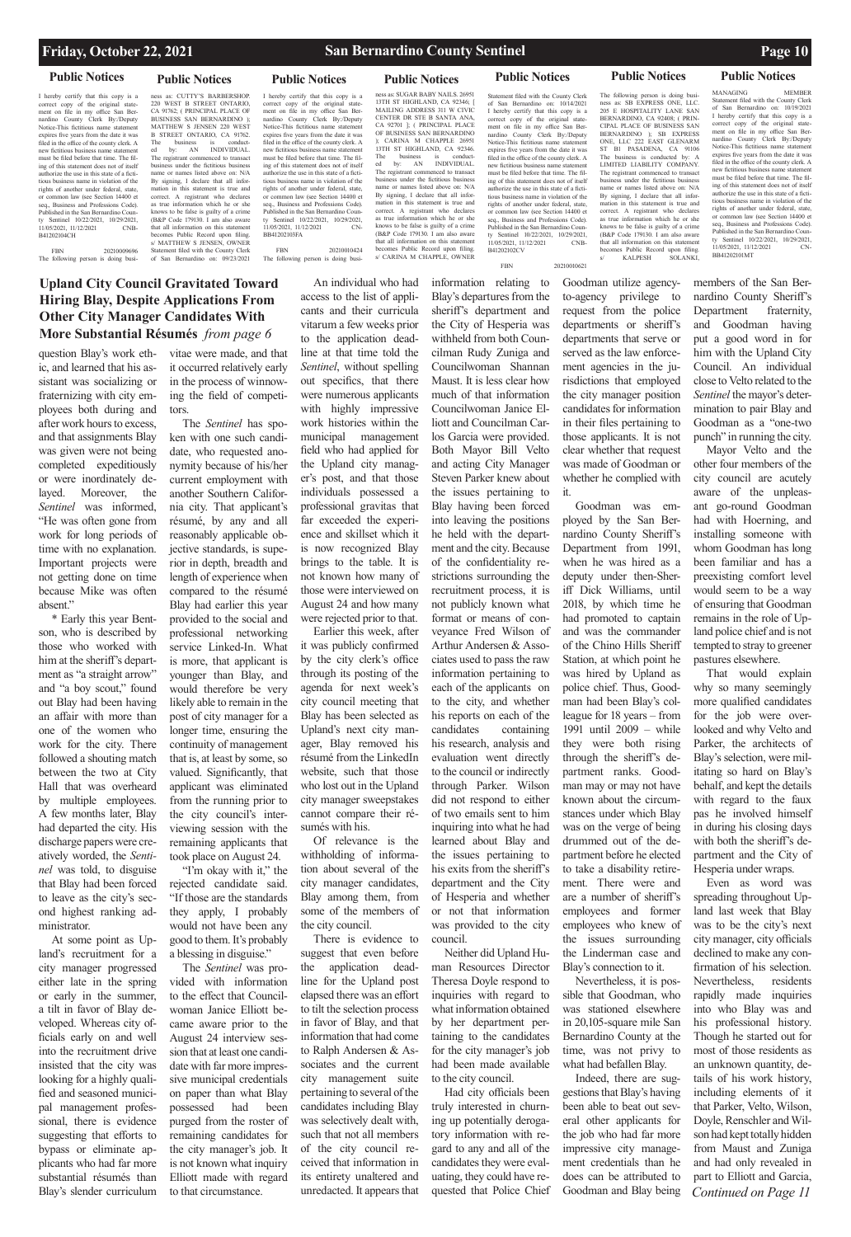## **Upland City Council Gravitated Toward Hiring Blay, Despite Applications From Other City Manager Candidates With More Substantial Résumés** *from page 6*

## **Friday, October 22, 2021 San Bernardino County Sentinel Page 10**

question Blay's work ethic, and learned that his assistant was socializing or fraternizing with city employees both during and after work hours to excess, and that assignments Blay was given were not being completed expeditiously or were inordinately delayed. Moreover, the *Sentinel* was informed, "He was often gone from work for long periods of time with no explanation. Important projects were not getting done on time because Mike was often absent."

\* Early this year Bentson, who is described by those who worked with him at the sheriff's department as "a straight arrow" and "a boy scout," found out Blay had been having an affair with more than one of the women who work for the city. There followed a shouting match between the two at City Hall that was overheard by multiple employees. A few months later, Blay had departed the city. His discharge papers were creatively worded, the *Sentinel* was told, to disguise that Blay had been forced to leave as the city's second highest ranking administrator.

At some point as Upland's recruitment for a

city manager progressed either late in the spring or early in the summer, a tilt in favor of Blay developed. Whereas city officials early on and well into the recruitment drive insisted that the city was looking for a highly qualified and seasoned municipal management professional, there is evidence suggesting that efforts to bypass or eliminate applicants who had far more substantial résumés than Blay's slender curriculum

"I'm okay with it," the rejected candidate said. "If those are the standards they apply, I probably would not have been any good to them. It's probably a blessing in disguise." The *Sentinel* was provided with information to the effect that Councilwoman Janice Elliott became aware prior to the August 24 interview session that at least one candidate with far more impressive municipal credentials on paper than what Blay possessed had been purged from the roster of remaining candidates for the city manager's job. It is not known what inquiry Elliott made with regard to that circumstance.

vitae were made, and that it occurred relatively early in the process of winnowing the field of competitors.

The *Sentinel* has spoken with one such candidate, who requested anonymity because of his/her current employment with another Southern California city. That applicant's résumé, by any and all reasonably applicable objective standards, is superior in depth, breadth and length of experience when compared to the résumé Blay had earlier this year provided to the social and professional networking service Linked-In. What is more, that applicant is younger than Blay, and would therefore be very likely able to remain in the post of city manager for a longer time, ensuring the continuity of management that is, at least by some, so valued. Significantly, that applicant was eliminated from the running prior to the city council's interviewing session with the remaining applicants that took place on August 24.

> application deadline for the Upland post elapsed there was an effort to tilt the selection process in favor of Blay, and that information that had come to Ralph Andersen & Associates and the current city management suite pertaining to several of the candidates including Blay was selectively dealt with, such that not all members of the city council received that information in its entirety unaltered and unredacted. It appears that

the Upland city manag-

is now recognized Blay

sumés with his.

city manager candidates,

some of the members of

the city council.

There is evidence to suggest that even before

An individual who had access to the list of applicants and their curricula vitarum a few weeks prior to the application deadline at that time told the *Sentinel*, without spelling out specifics, that there were numerous applicants with highly impressive work histories within the municipal management field who had applied for er's post, and that those individuals possessed a professional gravitas that far exceeded the experience and skillset which it brings to the table. It is not known how many of those were interviewed on August 24 and how many were rejected prior to that. Earlier this week, after it was publicly confirmed by the city clerk's office through its posting of the agenda for next week's city council meeting that Blay has been selected as Upland's next city manager, Blay removed his résumé from the LinkedIn website, such that those who lost out in the Upland city manager sweepstakes cannot compare their ré-Of relevance is the withholding of information about several of the Blay among them, from information relating to Blay's departures from the sheriff's department and the City of Hesperia was withheld from both Councilman Rudy Zuniga and Councilwoman Shannan Maust. It is less clear how much of that information Councilwoman Janice Elliott and Councilman Carlos Garcia were provided. Both Mayor Bill Velto and acting City Manager Steven Parker knew about the issues pertaining to Blay having been forced into leaving the positions he held with the department and the city. Because of the confidentiality restrictions surrounding the recruitment process, it is not publicly known what format or means of conveyance Fred Wilson of Arthur Andersen & Associates used to pass the raw information pertaining to each of the applicants on to the city, and whether his reports on each of the candidates containing his research, analysis and evaluation went directly to the council or indirectly through Parker. Wilson did not respond to either of two emails sent to him inquiring into what he had learned about Blay and the issues pertaining to his exits from the sheriff's department and the City of Hesperia and whether

*Continued on Page 11* Even as word was spreading throughout Upland last week that Blay was to be the city's next city manager, city officials declined to make any confirmation of his selection. Nevertheless, residents rapidly made inquiries into who Blay was and his professional history. Though he started out for most of those residents as an unknown quantity, details of his work history, including elements of it that Parker, Velto, Wilson, Doyle, Renschler and Wilson had kept totally hidden from Maust and Zuniga and had only revealed in part to Elliott and Garcia,

I hereby certify that this copy is a correct copy of the original statement on file in my office San Ber-nardino County Clerk By:/Deputy Notice-This fictitious name statement expires five years from the date it was filed in the office of the county clerk. A new fictitious business name statement must be filed before that time. The filing of this statement does not of itself authorize the use in this state of a fictitious business name in violation of the rights of another under federal, state, or common law (see Section 14400 et seq., Business and Professions Code). Published in the San Bernardino Coun-ty Sentinel 10/22/2021, 10/29/2021, 11/05/2021, 11/12/2021 CNB-B41202104CH

> or not that information was provided to the city

council. Neither did Upland Human Resources Director Theresa Doyle respond to inquiries with regard to what information obtained by her department pertaining to the candidates for the city manager's job had been made available to the city council. Had city officials been truly interested in churning up potentially derogatory information with regard to any and all of the candidates they were evaluating, they could have requested that Police Chief

Goodman utilize agencyto-agency privilege to request from the police departments or sheriff's departments that serve or served as the law enforcement agencies in the jurisdictions that employed the city manager position candidates for information in their files pertaining to those applicants. It is not clear whether that request was made of Goodman or whether he complied with it.

Goodman was employed by the San Bernardino County Sheriff's Department from 1991, when he was hired as a deputy under then-Sheriff Dick Williams, until 2018, by which time he had promoted to captain and was the commander of the Chino Hills Sheriff Station, at which point he was hired by Upland as police chief. Thus, Goodman had been Blay's colleague for 18 years – from 1991 until 2009 – while they were both rising through the sheriff's department ranks. Goodman may or may not have known about the circumstances under which Blay was on the verge of being drummed out of the department before he elected to take a disability retirement. There were and are a number of sheriff's employees and former employees who knew of the issues surrounding the Linderman case and Blay's connection to it. Nevertheless, it is possible that Goodman, who was stationed elsewhere in 20,105-square mile San Bernardino County at the time, was not privy to what had befallen Blay. Indeed, there are suggestions that Blay's having been able to beat out several other applicants for the job who had far more impressive city management credentials than he does can be attributed to Goodman and Blay being

members of the San Bernardino County Sheriff's Department fraternity, and Goodman having put a good word in for him with the Upland City Council. An individual close to Velto related to the *Sentinel* the mayor's determination to pair Blay and Goodman as a "one-two punch" in running the city.

Mayor Velto and the other four members of the city council are acutely aware of the unpleasant go-round Goodman had with Hoerning, and installing someone with whom Goodman has long been familiar and has a preexisting comfort level would seem to be a way of ensuring that Goodman remains in the role of Upland police chief and is not tempted to stray to greener pastures elsewhere.

That would explain why so many seemingly more qualified candidates for the job were overlooked and why Velto and Parker, the architects of Blay's selection, were militating so hard on Blay's behalf, and kept the details with regard to the faux pas he involved himself in during his closing days with both the sheriff's department and the City of Hesperia under wraps.

## **Public Notices Public Notices Public Notices Public Notices Public Notices Public Notices Public Notices**

FBN 20210009696 The following person is doing busi-

ness as: CUTTY'S BARBERSHOP. 220 WEST B STREET ONTARIO, CA 91762; ( PRINCIPAL PLACE OF BUSINESS SAN BERNARDINO ); MATTHEW S JENSEN 220 WEST B STREET ONTARIO, CA 91762. The business is conduct-ed by: AN INDIVIDUAL. The registrant commenced to transact business under the fictitious business name or names listed above on: N/A By signing, I declare that all information in this statement is true and correct. A registrant who declares as true information which he or she knows to be false is guilty of a crime (B&P Code 179130. I am also aware that all information on this statement becomes Public Record upon filing. s/ MATTHEW S JENSEN, OWNER Statement filed with the County Clerk of San Bernardino on: 09/23/2021

I hereby certify that this copy is a correct copy of the original state-ment on file in my office San Ber-nardino County Clerk By:/Deputy Notice-This fictitious name statement expires five years from the date it was filed in the office of the county clerk. A new fictitious business name statem must be filed before that time. The filing of this statement does not of itself authorize the use in this state of a fictitious business name in violation of the rights of another under federal, state, or common law (see Section 14400 et seq., Business and Professions Code). Published in the San Bernardino Coun-ty Sentinel 10/22/2021, 10/29/2021, 11/05/2021, 11/12/2021 CN-

BB41202103FA

FBN 20210010424 The following person is doing business as: SUGAR BABY NAILS. 26951 13TH ST HIGHLAND, CA 92346; [ MAILING ADDRESS 311 W CIVIC CENTER DR STE B SANTA ANA, CA 92701 ]; ( PRINCIPAL PLACE OF BUSINESS SAN BERNARDINO ); CARINA M CHAPPLE 26951 13TH ST HIGHLAND, CA 92346. The business is conduct-ed by: AN INDIVIDUAL. The registrant commenced to transact business under the fictitious business name or names listed above on: N/A By signing, I declare that all information in this statement is true and correct. A registrant who declares as true information which he or she knows to be false is guilty of a crime (B&P Code 179130. I am also aware that all information on this statement becomes Public Record upon filing. s/ CARINA M CHAPPLE, OWNER

Statement filed with the County Clerk of San Bernardino on: 10/14/2021 I hereby certify that this copy is a correct copy of the original state-ment on file in my office San Bernardino County Clerk By:/Deputy Notice-This fictitious name statement expires five years from the date it was filed in the office of the county clerk. A new fictitious business name statement must be filed before that time. The filing of this statement does not of itself authorize the use in this state of a fictitious business name in violation of the rights of another under federal, state, or common law (see Section 14400 et seq., Business and Professions Code). Published in the San Bernardino County Sentinel 10/22/2021, 10/29/2021, 11/05/2021, 11/12/2021 CNB-FBN 20210010621 The following person is doing busi-ness as: SB EXPRESS ONE, LLC. 205 E HOSPITALITY LANE SAN BERNARDINO, CA 92408; ( PRIN-CIPAL PLACE OF BUSINESS SAN BERNARDINO ); SB EXPRESS ONE, LLC 222 EAST GLENARM ST B1 PASADENA, CA 91106 The business is conducted by: A LIMITED LIABILITY COMPANY. The registrant commenced to transact business under the fictitious business name or names listed above on: N/A By signing, I declare that all information in this statement is true and correct. A registrant who declares as true information which he or she knows to be false is guilty of a crime (B&P Code 179130. I am also aware that all information on this statement becomes Public Record upon filing. s/ KALPESH SOLANKI,

B41202102CV

MANAGING MEMBER Statement filed with the County Clerk of San Bernardino on: 10/19/2021 I hereby certify that this copy is a correct copy of the original statement on file in my office San Bernardino County Clerk By:/Deputy Notice-This fictitious name statem expires five years from the date it was filed in the office of the county clerk. A new fictitious business name statem must be filed before that time. The filing of this statement does not of itself authorize the use in this state of a fictitious business name in violation of the rights of another under federal, state or common law (see Section 14400 et seq., Business and Professions Code). Published in the San Bernardino County Sentinel 10/22/2021, 10/29/2021<br>11/05/2021 11/12/2021 CN  $11/05/2021$ ,  $11/12/2021$ BB41202101MT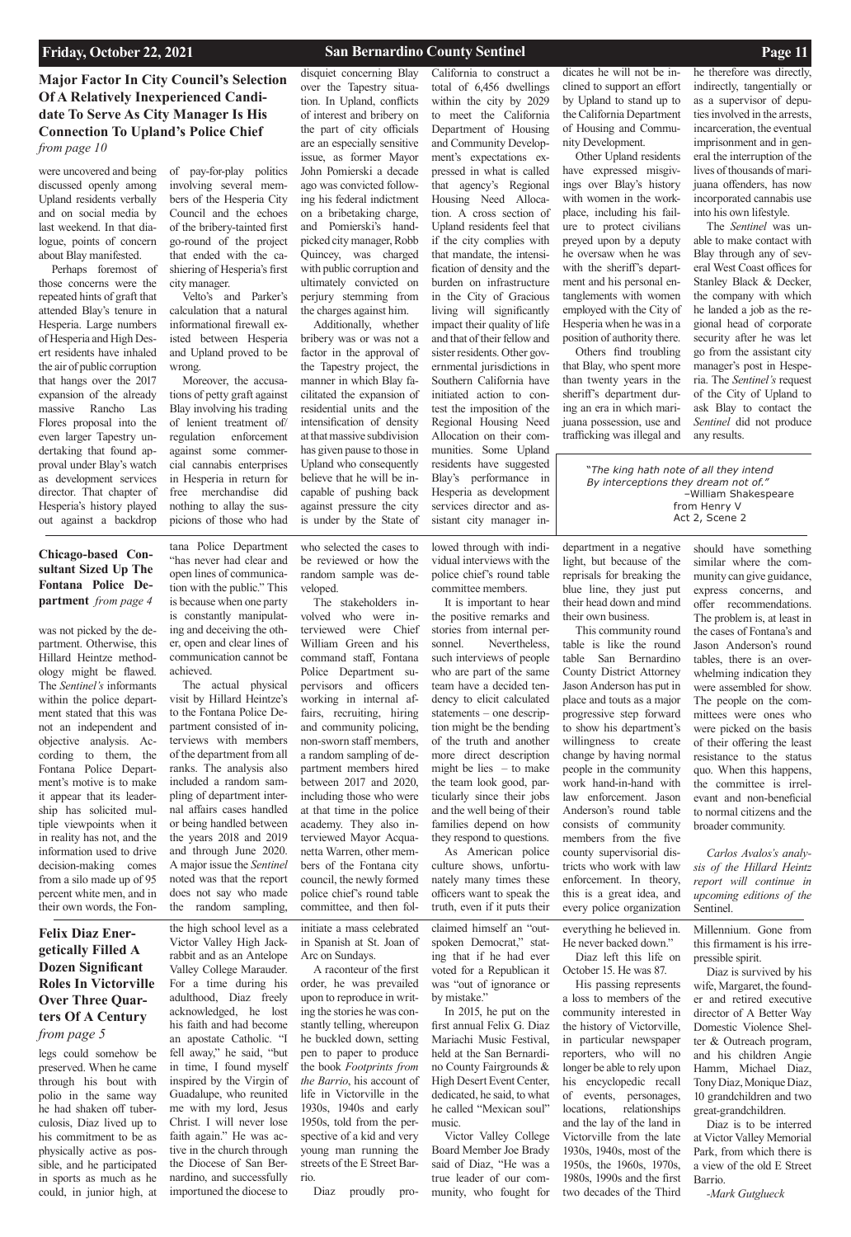**Major Factor In City Council's Selection Of A Relatively Inexperienced Candidate To Serve As City Manager Is His Connection To Upland's Police Chief** *from page 10*

**Chicago-based Consultant Sized Up The Fontana Police Department** *from page 4*

# **Felix Diaz Energetically Filled A**

**Dozen Significant Roles In Victorville Over Three Quarters Of A Century**  *from page 5*

## **Friday, October 22, 2021 San Bernardino County Sentinel Page 11**

legs could somehow be preserved. When he came through his bout with polio in the same way he had shaken off tuberculosis, Diaz lived up to his commitment to be as physically active as possible, and he participated in sports as much as he could, in junior high, at

the high school level as a Victor Valley High Jackrabbit and as an Antelope Valley College Marauder. For a time during his adulthood, Diaz freely acknowledged, he lost his faith and had become an apostate Catholic. "I fell away," he said, "but in time, I found myself inspired by the Virgin of Guadalupe, who reunited me with my lord, Jesus Christ. I will never lose faith again." He was active in the church through the Diocese of San Bernardino, and successfully importuned the diocese to

initiate a mass celebrated in Spanish at St. Joan of Arc on Sundays.

A raconteur of the first order, he was prevailed upon to reproduce in writing the stories he was constantly telling, whereupon he buckled down, setting pen to paper to produce the book *Footprints from the Barrio*, his account of life in Victorville in the 1930s, 1940s and early 1950s, told from the perspective of a kid and very young man running the streets of the E Street Barrio. Diaz proudly proclaimed himself an "outspoken Democrat," stating that if he had ever

voted for a Republican it was "out of ignorance or by mistake."

In 2015, he put on the first annual Felix G. Diaz Mariachi Music Festival, held at the San Bernardino County Fairgrounds & High Desert Event Center, dedicated, he said, to what he called "Mexican soul" music.

Victor Valley College Board Member Joe Brady said of Diaz, "He was a true leader of our community, who fought for

everything he believed in. He never backed down."

Diaz left this life on

October 15. He was 87. His passing represents

a loss to members of the community interested in the history of Victorville, in particular newspaper reporters, who will no longer be able to rely upon his encyclopedic recall of events, personages, locations, relationships and the lay of the land in Victorville from the late 1930s, 1940s, most of the 1950s, the 1960s, 1970s,

1980s, 1990s and the first two decades of the Third

Millennium. Gone from this firmament is his irrepressible spirit.

Diaz is survived by his wife, Margaret, the founder and retired executive director of A Better Way Domestic Violence Shelter & Outreach program, and his children Angie Hamm, Michael Diaz, Tony Diaz, Monique Diaz, 10 grandchildren and two great-grandchildren. Diaz is to be interred

at Victor Valley Memorial Park, from which there is a view of the old E Street Barrio.

*-Mark Gutglueck*

was not picked by the department. Otherwise, this Hillard Heintze methodology might be flawed. The *Sentinel's* informants within the police department stated that this was not an independent and objective analysis. According to them, the Fontana Police Department's motive is to make it appear that its leadership has solicited multiple viewpoints when it in reality has not, and the information used to drive decision-making comes from a silo made up of 95 percent white men, and in their own words, the Fon-

tana Police Department "has never had clear and open lines of communication with the public." This is because when one party is constantly manipulating and deceiving the other, open and clear lines of communication cannot be achieved.

The actual physical visit by Hillard Heintze's to the Fontana Police Department consisted of interviews with members of the department from all ranks. The analysis also included a random sampling of department internal affairs cases handled or being handled between the years 2018 and 2019 and through June 2020. A major issue the *Sentinel* noted was that the report does not say who made the random sampling,

who selected the cases to be reviewed or how the random sample was developed.

The stakeholders involved who were interviewed were Chief William Green and his command staff, Fontana Police Department supervisors and officers working in internal affairs, recruiting, hiring and community policing, non-sworn staff members, a random sampling of department members hired between 2017 and 2020, including those who were at that time in the police academy. They also interviewed Mayor Acquanetta Warren, other members of the Fontana city council, the newly formed police chief's round table committee, and then fol-

lowed through with individual interviews with the police chief's round table committee members.

It is important to hear the positive remarks and stories from internal personnel. Nevertheless, such interviews of people who are part of the same team have a decided tendency to elicit calculated statements – one description might be the bending of the truth and another more direct description might be lies  $-$  to make the team look good, particularly since their jobs and the well being of their families depend on how they respond to questions.

As American police culture shows, unfortunately many times these officers want to speak the truth, even if it puts their

department in a negative light, but because of the reprisals for breaking the blue line, they just put their head down and mind their own business.

This community round table is like the round table San Bernardino County District Attorney Jason Anderson has put in place and touts as a major progressive step forward to show his department's willingness to create change by having normal people in the community work hand-in-hand with law enforcement. Jason Anderson's round table consists of community members from the five county supervisorial districts who work with law enforcement. In theory, this is a great idea, and every police organization

should have something

similar where the community can give guidance, express concerns, and offer recommendations. The problem is, at least in the cases of Fontana's and Jason Anderson's round tables, there is an overwhelming indication they were assembled for show. The people on the committees were ones who were picked on the basis of their offering the least resistance to the status quo. When this happens, the committee is irrelevant and non-beneficial to normal citizens and the broader community.

*Carlos Avalos's analysis of the Hillard Heintz report will continue in upcoming editions of the*  Sentinel.

were uncovered and being discussed openly among Upland residents verbally and on social media by last weekend. In that dialogue, points of concern about Blay manifested.

Perhaps foremost of those concerns were the repeated hints of graft that attended Blay's tenure in Hesperia. Large numbers of Hesperia and High Desert residents have inhaled the air of public corruption that hangs over the 2017 expansion of the already massive Rancho Las Flores proposal into the even larger Tapestry undertaking that found approval under Blay's watch as development services director. That chapter of Hesperia's history played out against a backdrop

of pay-for-play politics involving several members of the Hesperia City Council and the echoes of the bribery-tainted first go-round of the project that ended with the cashiering of Hesperia's first city manager.

Velto's and Parker's calculation that a natural informational firewall existed between Hesperia and Upland proved to be wrong.

Moreover, the accusations of petty graft against Blay involving his trading of lenient treatment of/ regulation enforcement against some commercial cannabis enterprises in Hesperia in return for free merchandise did nothing to allay the suspicions of those who had disquiet concerning Blay over the Tapestry situation. In Upland, conflicts of interest and bribery on the part of city officials are an especially sensitive issue, as former Mayor John Pomierski a decade ago was convicted following his federal indictment on a bribetaking charge, and Pomierski's handpicked city manager, Robb Quincey, was charged with public corruption and ultimately convicted on perjury stemming from the charges against him.

Additionally, whether bribery was or was not a factor in the approval of the Tapestry project, the manner in which Blay facilitated the expansion of residential units and the intensification of density at that massive subdivision has given pause to those in Upland who consequently believe that he will be incapable of pushing back against pressure the city is under by the State of California to construct a total of 6,456 dwellings within the city by 2029 to meet the California Department of Housing and Community Development's expectations expressed in what is called that agency's Regional Housing Need Allocation. A cross section of Upland residents feel that if the city complies with that mandate, the intensification of density and the burden on infrastructure in the City of Gracious living will significantly impact their quality of life and that of their fellow and sister residents. Other governmental jurisdictions in Southern California have initiated action to contest the imposition of the Regional Housing Need Allocation on their communities. Some Upland residents have suggested Blay's performance in Hesperia as development

services director and assistant city manager indicates he will not be inclined to support an effort by Upland to stand up to the California Department of Housing and Community Development.

Other Upland residents have expressed misgivings over Blay's history with women in the workplace, including his failure to protect civilians preyed upon by a deputy he oversaw when he was with the sheriff's department and his personal entanglements with women employed with the City of Hesperia when he was in a position of authority there.

Others find troubling that Blay, who spent more than twenty years in the sheriff's department during an era in which marijuana possession, use and trafficking was illegal and

he therefore was directly, indirectly, tangentially or as a supervisor of deputies involved in the arrests, incarceration, the eventual imprisonment and in general the interruption of the lives of thousands of marijuana offenders, has now incorporated cannabis use into his own lifestyle.

The *Sentinel* was unable to make contact with Blay through any of several West Coast offices for Stanley Black & Decker, the company with which he landed a job as the regional head of corporate security after he was let go from the assistant city manager's post in Hesperia. The *Sentinel's* request of the City of Upland to ask Blay to contact the *Sentinel* did not produce any results.

"*The king hath note of all they intend By interceptions they dream not of."* –William Shakespeare from Henry V Act 2, Scene 2